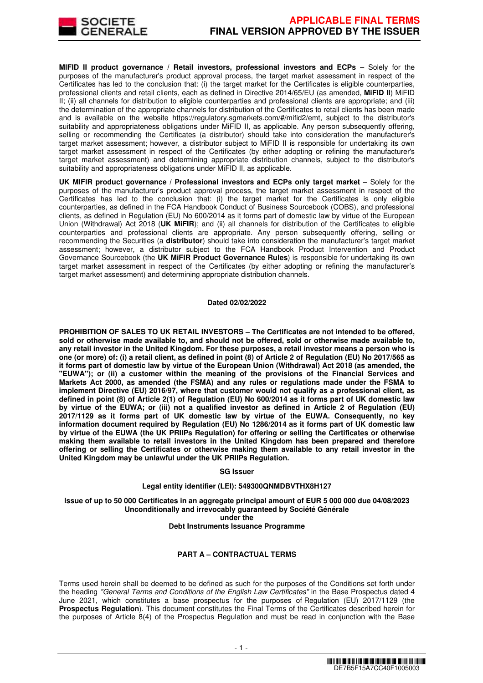

**MIFID II product governance / Retail investors, professional investors and ECPs - Solely for the** purposes of the manufacturer's product approval process, the target market assessment in respect of the Certificates has led to the conclusion that: (i) the target market for the Certificates is eligible counterparties, professional clients and retail clients, each as defined in Directive 2014/65/EU (as amended, **MiFID II**) MiFID II; (ii) all channels for distribution to eligible counterparties and professional clients are appropriate; and (iii) the determination of the appropriate channels for distribution of the Certificates to retail clients has been made and is available on the website https://regulatory.sgmarkets.com/#/mifid2/emt, subject to the distributor's suitability and appropriateness obligations under MiFID II, as applicable. Any person subsequently offering, selling or recommending the Certificates (a distributor) should take into consideration the manufacturer's target market assessment; however, a distributor subject to MiFID II is responsible for undertaking its own target market assessment in respect of the Certificates (by either adopting or refining the manufacturer's target market assessment) and determining appropriate distribution channels, subject to the distributor's suitability and appropriateness obligations under MiFID II, as applicable.

**UK MIFIR product governance / Professional investors and ECPs only target market** – Solely for the purposes of the manufacturer's product approval process, the target market assessment in respect of the Certificates has led to the conclusion that: (i) the target market for the Certificates is only eligible counterparties, as defined in the FCA Handbook Conduct of Business Sourcebook (COBS), and professional clients, as defined in Regulation (EU) No 600/2014 as it forms part of domestic law by virtue of the European Union (Withdrawal) Act 2018 (**UK MiFIR**); and (ii) all channels for distribution of the Certificates to eligible counterparties and professional clients are appropriate. Any person subsequently offering, selling or recommending the Securities (a **distributor**) should take into consideration the manufacturer's target market assessment; however, a distributor subject to the FCA Handbook Product Intervention and Product Governance Sourcebook (the **UK MiFIR Product Governance Rules**) is responsible for undertaking its own target market assessment in respect of the Certificates (by either adopting or refining the manufacturer's target market assessment) and determining appropriate distribution channels.

#### **Dated 02/02/2022**

**PROHIBITION OF SALES TO UK RETAIL INVESTORS – The Certificates are not intended to be offered, sold or otherwise made available to, and should not be offered, sold or otherwise made available to, any retail investor in the United Kingdom. For these purposes, a retail investor means a person who is one (or more) of: (i) a retail client, as defined in point (8) of Article 2 of Regulation (EU) No 2017/565 as it forms part of domestic law by virtue of the European Union (Withdrawal) Act 2018 (as amended, the "EUWA"); or (ii) a customer within the meaning of the provisions of the Financial Services and Markets Act 2000, as amended (the FSMA) and any rules or regulations made under the FSMA to implement Directive (EU) 2016/97, where that customer would not qualify as a professional client, as defined in point (8) of Article 2(1) of Regulation (EU) No 600/2014 as it forms part of UK domestic law by virtue of the EUWA; or (iii) not a qualified investor as defined in Article 2 of Regulation (EU) 2017/1129 as it forms part of UK domestic law by virtue of the EUWA. Consequently, no key information document required by Regulation (EU) No 1286/2014 as it forms part of UK domestic law by virtue of the EUWA (the UK PRIIPs Regulation) for offering or selling the Certificates or otherwise making them available to retail investors in the United Kingdom has been prepared and therefore offering or selling the Certificates or otherwise making them available to any retail investor in the United Kingdom may be unlawful under the UK PRIIPs Regulation.**

#### **SG Issuer**

#### **Legal entity identifier (LEI): 549300QNMDBVTHX8H127**

**Issue of up to 50 000 Certificates in an aggregate principal amount of EUR 5 000 000 due 04/08/2023 Unconditionally and irrevocably guaranteed by Société Générale under the Debt Instruments Issuance Programme**

# **PART A – CONTRACTUAL TERMS**

Terms used herein shall be deemed to be defined as such for the purposes of the Conditions set forth under the heading "General Terms and Conditions of the English Law Certificates" in the Base Prospectus dated 4 June 2021, which constitutes a base prospectus for the purposes of Regulation (EU) 2017/1129 (the **Prospectus Regulation**). This document constitutes the Final Terms of the Certificates described herein for the purposes of Article 8(4) of the Prospectus Regulation and must be read in conjunction with the Base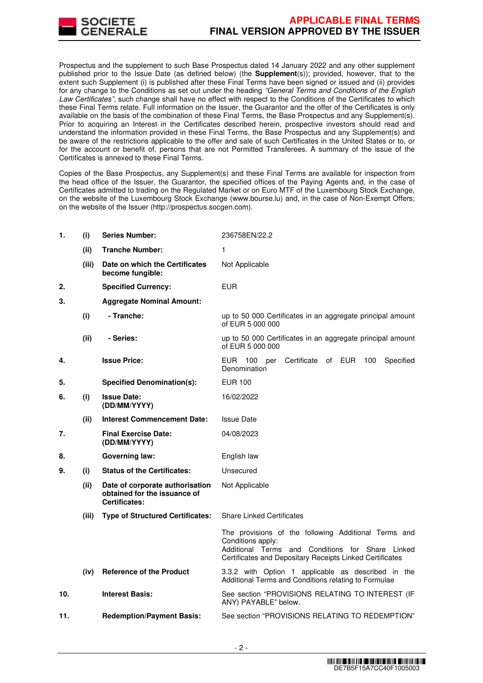

Prospectus and the supplement to such Base Prospectus dated 14 January 2022 and any other supplement published prior to the Issue Date (as defined below) (the **Supplement**(s)); provided, however, that to the extent such Supplement (i) is published after these Final Terms have been signed or issued and (ii) provides for any change to the Conditions as set out under the heading "General Terms and Conditions of the English Law Certificates", such change shall have no effect with respect to the Conditions of the Certificates to which these Final Terms relate. Full information on the Issuer, the Guarantor and the offer of the Certificates is only available on the basis of the combination of these Final Terms, the Base Prospectus and any Supplement(s). Prior to acquiring an Interest in the Certificates described herein, prospective investors should read and understand the information provided in these Final Terms, the Base Prospectus and any Supplement(s) and be aware of the restrictions applicable to the offer and sale of such Certificates in the United States or to, or for the account or benefit of, persons that are not Permitted Transferees. A summary of the issue of the Certificates is annexed to these Final Terms.

Copies of the Base Prospectus, any Supplement(s) and these Final Terms are available for inspection from the head office of the Issuer, the Guarantor, the specified offices of the Paying Agents and, in the case of Certificates admitted to trading on the Regulated Market or on Euro MTF of the Luxembourg Stock Exchange, on the website of the Luxembourg Stock Exchange (www.bourse.lu) and, in the case of Non-Exempt Offers; on the website of the Issuer (http://prospectus.socgen.com).

| 1.  | (i)   | <b>Series Number:</b>                                                                   | 236758EN/22.2                                                                                                                                                                             |
|-----|-------|-----------------------------------------------------------------------------------------|-------------------------------------------------------------------------------------------------------------------------------------------------------------------------------------------|
|     | (ii)  | <b>Tranche Number:</b>                                                                  | 1                                                                                                                                                                                         |
|     | (iii) | Date on which the Certificates<br>become fungible:                                      | Not Applicable                                                                                                                                                                            |
| 2.  |       | <b>Specified Currency:</b>                                                              | <b>EUR</b>                                                                                                                                                                                |
| 3.  |       | <b>Aggregate Nominal Amount:</b>                                                        |                                                                                                                                                                                           |
|     | (i)   | - Tranche:                                                                              | up to 50 000 Certificates in an aggregate principal amount<br>of EUR 5 000 000                                                                                                            |
|     | (ii)  | - Series:                                                                               | up to 50 000 Certificates in an aggregate principal amount<br>of EUR 5 000 000                                                                                                            |
| 4.  |       | <b>Issue Price:</b>                                                                     | EUR 100 per<br>Certificate of EUR<br>100<br>Specified<br>Denomination                                                                                                                     |
| 5.  |       | <b>Specified Denomination(s):</b>                                                       | EUR 100                                                                                                                                                                                   |
| 6.  | (i)   | <b>Issue Date:</b><br>(DD/MM/YYYY)                                                      | 16/02/2022                                                                                                                                                                                |
|     | (ii)  | <b>Interest Commencement Date:</b>                                                      | <b>Issue Date</b>                                                                                                                                                                         |
| 7.  |       | <b>Final Exercise Date:</b><br>(DD/MM/YYYY)                                             | 04/08/2023                                                                                                                                                                                |
| 8.  |       | <b>Governing law:</b>                                                                   | English law                                                                                                                                                                               |
| 9.  | (i)   | <b>Status of the Certificates:</b>                                                      | Unsecured                                                                                                                                                                                 |
|     | (ii)  | Date of corporate authorisation<br>obtained for the issuance of<br><b>Certificates:</b> | Not Applicable                                                                                                                                                                            |
|     | (iii) | <b>Type of Structured Certificates:</b>                                                 | <b>Share Linked Certificates</b>                                                                                                                                                          |
|     |       |                                                                                         | The provisions of the following Additional Terms and<br>Conditions apply:<br>Additional Terms and Conditions for Share Linked<br>Certificates and Depositary Receipts Linked Certificates |
|     | (iv)  | <b>Reference of the Product</b>                                                         | 3.3.2 with Option 1 applicable as described in the<br>Additional Terms and Conditions relating to Formulae                                                                                |
| 10. |       | <b>Interest Basis:</b>                                                                  | See section "PROVISIONS RELATING TO INTEREST (IF<br>ANY) PAYABLE" below.                                                                                                                  |
| 11. |       | <b>Redemption/Payment Basis:</b>                                                        | See section "PROVISIONS RELATING TO REDEMPTION"                                                                                                                                           |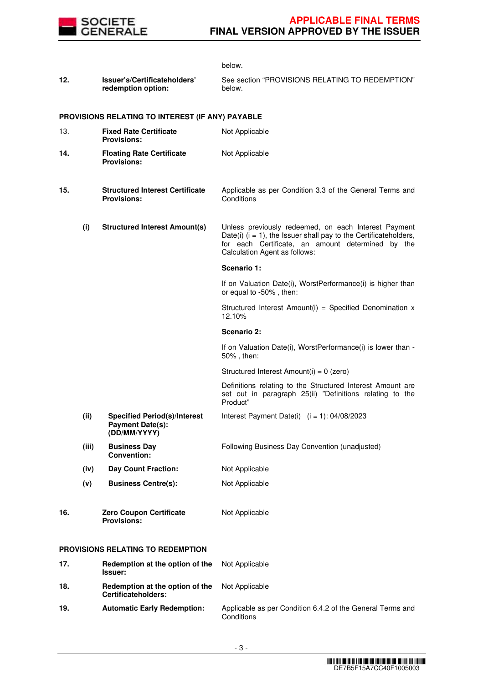

|     |       |                                                                                | below.                                                                                                                                                                                                            |
|-----|-------|--------------------------------------------------------------------------------|-------------------------------------------------------------------------------------------------------------------------------------------------------------------------------------------------------------------|
| 12. |       | Issuer's/Certificateholders'<br>redemption option:                             | See section "PROVISIONS RELATING TO REDEMPTION"<br>below.                                                                                                                                                         |
|     |       | PROVISIONS RELATING TO INTEREST (IF ANY) PAYABLE                               |                                                                                                                                                                                                                   |
| 13. |       | <b>Fixed Rate Certificate</b><br><b>Provisions:</b>                            | Not Applicable                                                                                                                                                                                                    |
| 14. |       | <b>Floating Rate Certificate</b><br><b>Provisions:</b>                         | Not Applicable                                                                                                                                                                                                    |
| 15. |       | <b>Structured Interest Certificate</b><br><b>Provisions:</b>                   | Applicable as per Condition 3.3 of the General Terms and<br>Conditions                                                                                                                                            |
|     | (i)   | <b>Structured Interest Amount(s)</b>                                           | Unless previously redeemed, on each Interest Payment<br>Date(i) $(i = 1)$ , the Issuer shall pay to the Certificateholders,<br>for each Certificate, an amount determined by the<br>Calculation Agent as follows: |
|     |       |                                                                                | Scenario 1:                                                                                                                                                                                                       |
|     |       |                                                                                | If on Valuation Date(i), WorstPerformance(i) is higher than<br>or equal to -50%, then:                                                                                                                            |
|     |       |                                                                                | Structured Interest Amount(i) = Specified Denomination x<br>12.10%                                                                                                                                                |
|     |       |                                                                                | Scenario 2:                                                                                                                                                                                                       |
|     |       |                                                                                | If on Valuation Date(i), WorstPerformance(i) is lower than -<br>50%, then:                                                                                                                                        |
|     |       |                                                                                | Structured Interest Amount(i) = 0 (zero)                                                                                                                                                                          |
|     |       |                                                                                | Definitions relating to the Structured Interest Amount are<br>set out in paragraph 25(ii) "Definitions relating to the<br>Product"                                                                                |
|     | (ii)  | <b>Specified Period(s)/Interest</b><br><b>Payment Date(s):</b><br>(DD/MM/YYYY) | Interest Payment Date(i) $(i = 1): 04/08/2023$                                                                                                                                                                    |
|     | (iii) | <b>Business Day</b><br><b>Convention:</b>                                      | Following Business Day Convention (unadjusted)                                                                                                                                                                    |
|     | (iv)  | <b>Day Count Fraction:</b>                                                     | Not Applicable                                                                                                                                                                                                    |
|     | (v)   | <b>Business Centre(s):</b>                                                     | Not Applicable                                                                                                                                                                                                    |
| 16. |       | <b>Zero Coupon Certificate</b><br><b>Provisions:</b>                           | Not Applicable                                                                                                                                                                                                    |
|     |       | <b>PROVISIONS RELATING TO REDEMPTION</b>                                       |                                                                                                                                                                                                                   |
| 17. |       | Redemption at the option of the<br>Issuer:                                     | Not Applicable                                                                                                                                                                                                    |
| 18. |       | Redemption at the option of the<br><b>Certificateholders:</b>                  | Not Applicable                                                                                                                                                                                                    |
| 19. |       | <b>Automatic Early Redemption:</b>                                             | Applicable as per Condition 6.4.2 of the General Terms and<br>Conditions                                                                                                                                          |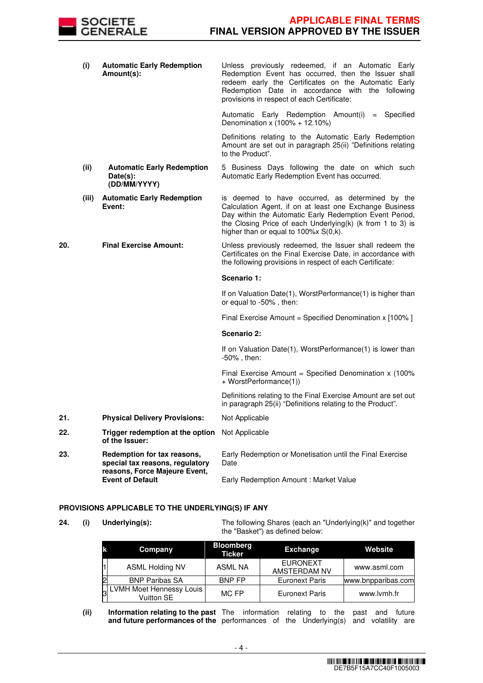

|     | (i)   | <b>Automatic Early Redemption</b><br>Amount(s):                                                 | Unless previously redeemed, if an Automatic Early<br>Redemption Event has occurred, then the Issuer shall<br>redeem early the Certificates on the Automatic Early<br>Redemption Date in accordance with the following<br>provisions in respect of each Certificate:           |
|-----|-------|-------------------------------------------------------------------------------------------------|-------------------------------------------------------------------------------------------------------------------------------------------------------------------------------------------------------------------------------------------------------------------------------|
|     |       |                                                                                                 | Automatic Early Redemption Amount(i) = Specified<br>Denomination x (100% + 12.10%)                                                                                                                                                                                            |
|     |       |                                                                                                 | Definitions relating to the Automatic Early Redemption<br>Amount are set out in paragraph 25(ii) "Definitions relating<br>to the Product".                                                                                                                                    |
|     | (ii)  | <b>Automatic Early Redemption</b><br>Date(s):<br>(DD/MM/YYYY)                                   | 5 Business Days following the date on which such<br>Automatic Early Redemption Event has occurred.                                                                                                                                                                            |
|     | (iii) | <b>Automatic Early Redemption</b><br>Event:                                                     | is deemed to have occurred, as determined by the<br>Calculation Agent, if on at least one Exchange Business<br>Day within the Automatic Early Redemption Event Period,<br>the Closing Price of each Underlying(k) (k from 1 to 3) is<br>higher than or equal to 100%x S(0,k). |
| 20. |       | <b>Final Exercise Amount:</b>                                                                   | Unless previously redeemed, the Issuer shall redeem the<br>Certificates on the Final Exercise Date, in accordance with<br>the following provisions in respect of each Certificate:                                                                                            |
|     |       |                                                                                                 |                                                                                                                                                                                                                                                                               |
|     |       |                                                                                                 | Scenario 1:                                                                                                                                                                                                                                                                   |
|     |       |                                                                                                 | If on Valuation Date(1), WorstPerformance(1) is higher than<br>or equal to -50%, then:                                                                                                                                                                                        |
|     |       |                                                                                                 | Final Exercise Amount = Specified Denomination x [100% ]                                                                                                                                                                                                                      |
|     |       |                                                                                                 | Scenario 2:                                                                                                                                                                                                                                                                   |
|     |       |                                                                                                 | If on Valuation Date(1), WorstPerformance(1) is lower than<br>$-50\%$ , then:                                                                                                                                                                                                 |
|     |       |                                                                                                 | Final Exercise Amount = Specified Denomination $x$ (100%)<br>+ WorstPerformance(1))                                                                                                                                                                                           |
|     |       |                                                                                                 | Definitions relating to the Final Exercise Amount are set out<br>in paragraph 25(ii) "Definitions relating to the Product".                                                                                                                                                   |
| 21. |       | <b>Physical Delivery Provisions:</b>                                                            | Not Applicable                                                                                                                                                                                                                                                                |
| 22. |       | Trigger redemption at the option Not Applicable<br>of the Issuer:                               |                                                                                                                                                                                                                                                                               |
| 23. |       | Redemption for tax reasons,<br>special tax reasons, regulatory<br>reasons, Force Majeure Event, | Early Redemption or Monetisation until the Final Exercise<br>Date<br>Early Redemption Amount : Market Value                                                                                                                                                                   |

# **PROVISIONS APPLICABLE TO THE UNDERLYING(S) IF ANY**

**24. (i) Underlying(s):** The following Shares (each an "Underlying(k)" and together the "Basket") as defined below:

| Company                                  | <b>Bloomberg</b><br><b>Ticker</b> | Exchange                        | Website            |
|------------------------------------------|-----------------------------------|---------------------------------|--------------------|
| <b>ASML Holding NV</b>                   | ASML NA                           | <b>EURONEXT</b><br>AMSTERDAM NV | www.asml.com       |
| <b>BNP Paribas SA</b>                    | <b>BNP FP</b>                     | <b>Euronext Paris</b>           | www.bnpparibas.com |
| J LVMH Moet Hennessy Louis<br>Vuitton SE | MC FP                             | <b>Euronext Paris</b>           | www.lvmh.fr        |

**(ii) Information relating to the past and future performances of the**  The information relating to the past and future performances of the Underlying(s) and volatility are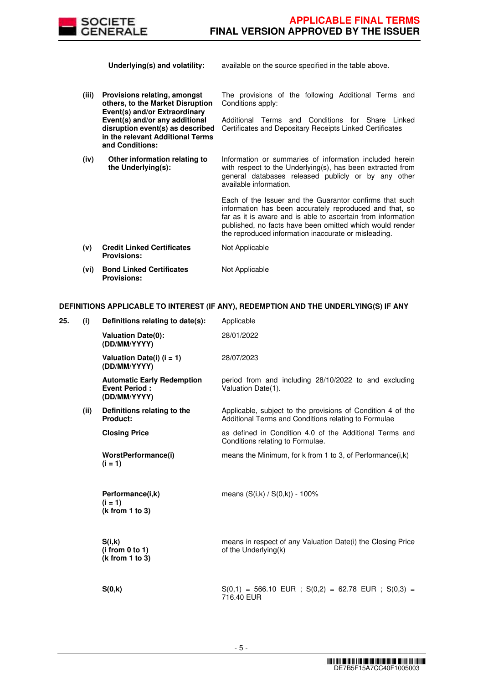

**Underlying(s) and volatility:** available on the source specified in the table above.

**(iii) Provisions relating, amongst others, to the Market Disruption Event(s) and/or Extraordinary Event(s) and/or any additional disruption event(s) as described in the relevant Additional Terms and Conditions:**

**(iv) Other information relating to the Underlying(s):**

The provisions of the following Additional Terms and Conditions apply:

Additional Terms and Conditions for Share Linked Certificates and Depositary Receipts Linked Certificates

Information or summaries of information included herein with respect to the Underlying(s), has been extracted from general databases released publicly or by any other available information.

Each of the Issuer and the Guarantor confirms that such information has been accurately reproduced and that, so far as it is aware and is able to ascertain from information published, no facts have been omitted which would render the reproduced information inaccurate or misleading.

| (v)      | <b>Credit Linked Certificates</b> | Not Applicable |  |
|----------|-----------------------------------|----------------|--|
|          | <b>Provisions:</b>                |                |  |
| $\cdots$ | _ _ _ _ _ _ _ _ _ _ _ _           |                |  |

**(vi) Bond Linked Certificates Provisions:** Not Applicable

# **DEFINITIONS APPLICABLE TO INTEREST (IF ANY), REDEMPTION AND THE UNDERLYING(S) IF ANY**

| 25. | (i)  | Definitions relating to date(s):                                          | Applicable                                                                                                          |
|-----|------|---------------------------------------------------------------------------|---------------------------------------------------------------------------------------------------------------------|
|     |      | <b>Valuation Date(0):</b><br>(DD/MM/YYYY)                                 | 28/01/2022                                                                                                          |
|     |      | Valuation Date(i) $(i = 1)$<br>(DD/MM/YYYY)                               | 28/07/2023                                                                                                          |
|     |      | <b>Automatic Early Redemption</b><br><b>Event Period:</b><br>(DD/MM/YYYY) | period from and including 28/10/2022 to and excluding<br>Valuation Date(1).                                         |
|     | (ii) | Definitions relating to the<br>Product:                                   | Applicable, subject to the provisions of Condition 4 of the<br>Additional Terms and Conditions relating to Formulae |
|     |      | <b>Closing Price</b>                                                      | as defined in Condition 4.0 of the Additional Terms and<br>Conditions relating to Formulae.                         |
|     |      | WorstPerformance(i)<br>$(i = 1)$                                          | means the Minimum, for k from 1 to 3, of Performance $(i,k)$                                                        |
|     |      | Performance(i,k)<br>$(i = 1)$<br>(k from 1 to 3)                          | means $(S(i,k) / S(0,k)) - 100\%$                                                                                   |
|     |      | S(i,k)<br>(i from 0 to 1)<br>(k from 1 to 3)                              | means in respect of any Valuation Date(i) the Closing Price<br>of the Underlying(k)                                 |
|     |      | S(0,k)                                                                    | $S(0,1) = 566.10$ EUR; $S(0,2) = 62.78$ EUR; $S(0,3) =$<br>716.40 EUR                                               |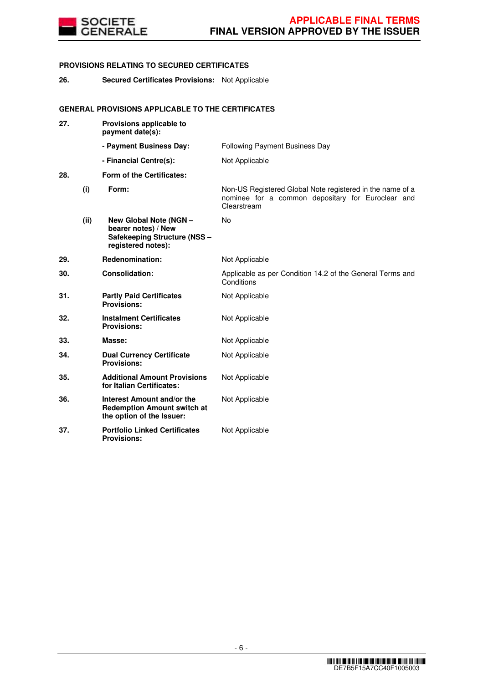

# **PROVISIONS RELATING TO SECURED CERTIFICATES**

**26. Secured Certificates Provisions:** Not Applicable

# **GENERAL PROVISIONS APPLICABLE TO THE CERTIFICATES**

| 27. |      | Provisions applicable to<br>payment date(s):                                                        |                                                                                                                               |
|-----|------|-----------------------------------------------------------------------------------------------------|-------------------------------------------------------------------------------------------------------------------------------|
|     |      | - Payment Business Day:                                                                             | Following Payment Business Day                                                                                                |
|     |      | - Financial Centre(s):                                                                              | Not Applicable                                                                                                                |
| 28. |      | Form of the Certificates:                                                                           |                                                                                                                               |
|     | (i)  | Form:                                                                                               | Non-US Registered Global Note registered in the name of a<br>nominee for a common depositary for Euroclear and<br>Clearstream |
|     | (ii) | New Global Note (NGN -<br>bearer notes) / New<br>Safekeeping Structure (NSS -<br>registered notes): | No                                                                                                                            |
| 29. |      | Redenomination:                                                                                     | Not Applicable                                                                                                                |
| 30. |      | <b>Consolidation:</b>                                                                               | Applicable as per Condition 14.2 of the General Terms and<br>Conditions                                                       |
| 31. |      | <b>Partly Paid Certificates</b><br><b>Provisions:</b>                                               | Not Applicable                                                                                                                |
| 32. |      | <b>Instalment Certificates</b><br><b>Provisions:</b>                                                | Not Applicable                                                                                                                |
| 33. |      | Masse:                                                                                              | Not Applicable                                                                                                                |
| 34. |      | <b>Dual Currency Certificate</b><br><b>Provisions:</b>                                              | Not Applicable                                                                                                                |
| 35. |      | <b>Additional Amount Provisions</b><br>for Italian Certificates:                                    | Not Applicable                                                                                                                |
| 36. |      | Interest Amount and/or the<br><b>Redemption Amount switch at</b><br>the option of the Issuer:       | Not Applicable                                                                                                                |
| 37. |      | <b>Portfolio Linked Certificates</b><br><b>Provisions:</b>                                          | Not Applicable                                                                                                                |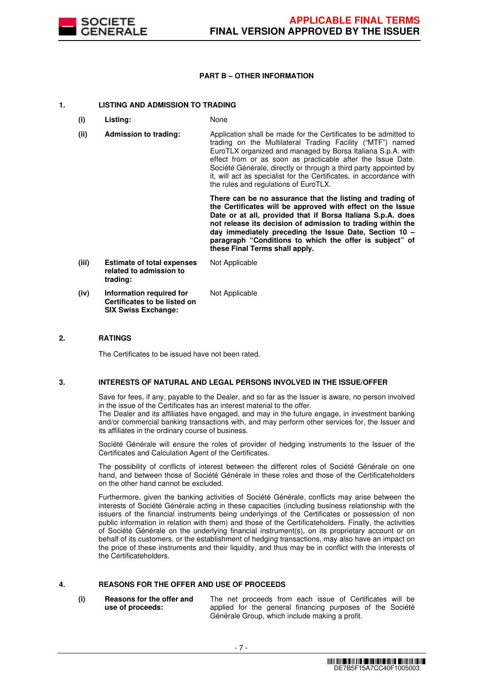

# **PART B – OTHER INFORMATION**

# **1. LISTING AND ADMISSION TO TRADING**

- **(i) Listing:** None
- **(ii) Admission to trading:** Application shall be made for the Certificates to be admitted to trading on the Multilateral Trading Facility ("MTF") named EuroTLX organized and managed by Borsa Italiana S.p.A. with effect from or as soon as practicable after the Issue Date. Société Générale, directly or through a third party appointed by it, will act as specialist for the Certificates, in accordance with the rules and regulations of EuroTLX.

 **There can be no assurance that the listing and trading of the Certificates will be approved with effect on the Issue Date or at all, provided that if Borsa Italiana S.p.A. does not release its decision of admission to trading within the day immediately preceding the Issue Date, Section 10 – paragraph "Conditions to which the offer is subject" of these Final Terms shall apply.**

**(iii) Estimate of total expenses related to admission to trading:** Not Applicable **(iv) Information required for Certificates to be listed on SIX Swiss Exchange:** Not Applicable

# **2. RATINGS**

The Certificates to be issued have not been rated.

# **3. INTERESTS OF NATURAL AND LEGAL PERSONS INVOLVED IN THE ISSUE/OFFER**

 Save for fees, if any, payable to the Dealer, and so far as the Issuer is aware, no person involved in the issue of the Certificates has an interest material to the offer.

The Dealer and its affiliates have engaged, and may in the future engage, in investment banking and/or commercial banking transactions with, and may perform other services for, the Issuer and its affiliates in the ordinary course of business.

 Société Générale will ensure the roles of provider of hedging instruments to the Issuer of the Certificates and Calculation Agent of the Certificates.

 The possibility of conflicts of interest between the different roles of Société Générale on one hand, and between those of Société Générale in these roles and those of the Certificateholders on the other hand cannot be excluded.

 Furthermore, given the banking activities of Société Générale, conflicts may arise between the interests of Société Générale acting in these capacities (including business relationship with the issuers of the financial instruments being underlyings of the Certificates or possession of non public information in relation with them) and those of the Certificateholders. Finally, the activities of Société Générale on the underlying financial instrument(s), on its proprietary account or on behalf of its customers, or the establishment of hedging transactions, may also have an impact on the price of these instruments and their liquidity, and thus may be in conflict with the interests of the Certificateholders.

# **4. REASONS FOR THE OFFER AND USE OF PROCEEDS**

**(i) Reasons for the offer and use of proceeds:**

The net proceeds from each issue of Certificates will be applied for the general financing purposes of the Société Générale Group, which include making a profit.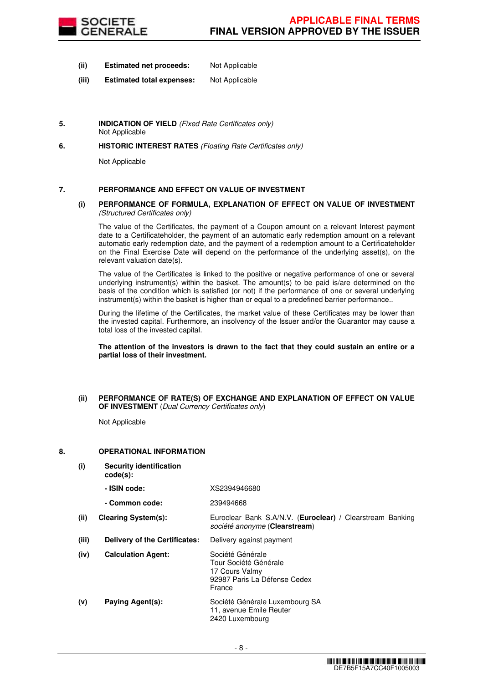

- **(ii) Estimated net proceeds:** Not Applicable
- **(iii) Estimated total expenses:** Not Applicable
- **5. INDICATION OF YIELD** (Fixed Rate Certificates only) Not Applicable
- **6. HISTORIC INTEREST RATES** (Floating Rate Certificates only)

Not Applicable

# **7. PERFORMANCE AND EFFECT ON VALUE OF INVESTMENT**

#### **(i) PERFORMANCE OF FORMULA, EXPLANATION OF EFFECT ON VALUE OF INVESTMENT**  (Structured Certificates only)

 The value of the Certificates, the payment of a Coupon amount on a relevant Interest payment date to a Certificateholder, the payment of an automatic early redemption amount on a relevant automatic early redemption date, and the payment of a redemption amount to a Certificateholder on the Final Exercise Date will depend on the performance of the underlying asset(s), on the relevant valuation date(s).

 The value of the Certificates is linked to the positive or negative performance of one or several underlying instrument(s) within the basket. The amount(s) to be paid is/are determined on the basis of the condition which is satisfied (or not) if the performance of one or several underlying instrument(s) within the basket is higher than or equal to a predefined barrier performance..

 During the lifetime of the Certificates, the market value of these Certificates may be lower than the invested capital. Furthermore, an insolvency of the Issuer and/or the Guarantor may cause a total loss of the invested capital.

**The attention of the investors is drawn to the fact that they could sustain an entire or a partial loss of their investment.**

#### **(ii) PERFORMANCE OF RATE(S) OF EXCHANGE AND EXPLANATION OF EFFECT ON VALUE OF INVESTMENT** (Dual Currency Certificates only)

Not Applicable

# **8. OPERATIONAL INFORMATION**

**(i) Security identification code(s): - ISIN code:** XS2394946680 **- Common code:** 239494668 **(ii) Clearing System(s):** Euroclear Bank S.A/N.V. (**Euroclear) /** Clearstream Banking société anonyme (**Clearstream**) **(iii) Delivery of the Certificates:** Delivery against payment **(iv) Calculation Agent:** Société Générale Tour Société Générale 17 Cours Valmy 92987 Paris La Défense Cedex France **(v) Paying Agent(s):** Société Générale Luxembourg SA 11, avenue Emile Reuter 2420 Luxembourg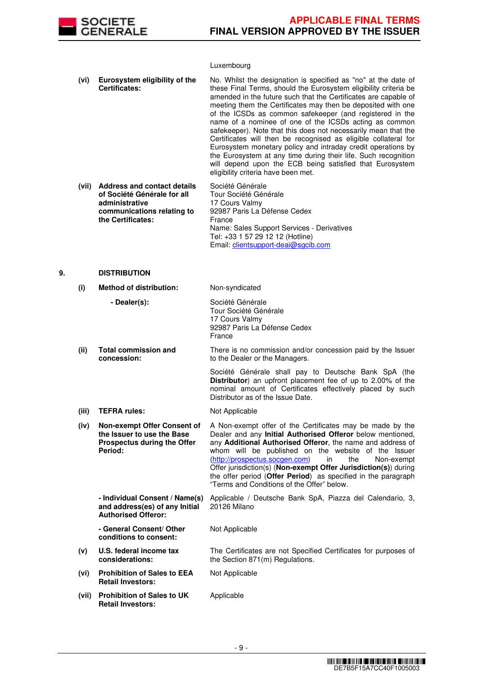

# Luxembourg

|    | (vi)  | Eurosystem eligibility of the<br>Certificates:                                                                                         | No. Whilst the designation is specified as "no" at the date of<br>these Final Terms, should the Eurosystem eligibility criteria be<br>amended in the future such that the Certificates are capable of<br>meeting them the Certificates may then be deposited with one<br>of the ICSDs as common safekeeper (and registered in the<br>name of a nominee of one of the ICSDs acting as common<br>safekeeper). Note that this does not necessarily mean that the<br>Certificates will then be recognised as eligible collateral for<br>Eurosystem monetary policy and intraday credit operations by<br>the Eurosystem at any time during their life. Such recognition<br>will depend upon the ECB being satisfied that Eurosystem<br>eligibility criteria have been met. |
|----|-------|----------------------------------------------------------------------------------------------------------------------------------------|-----------------------------------------------------------------------------------------------------------------------------------------------------------------------------------------------------------------------------------------------------------------------------------------------------------------------------------------------------------------------------------------------------------------------------------------------------------------------------------------------------------------------------------------------------------------------------------------------------------------------------------------------------------------------------------------------------------------------------------------------------------------------|
|    | (vii) | <b>Address and contact details</b><br>of Société Générale for all<br>administrative<br>communications relating to<br>the Certificates: | Société Générale<br>Tour Société Générale<br>17 Cours Valmy<br>92987 Paris La Défense Cedex<br>France<br>Name: Sales Support Services - Derivatives<br>Tel: +33 1 57 29 12 12 (Hotline)<br>Email: clientsupport-deai@sgcib.com                                                                                                                                                                                                                                                                                                                                                                                                                                                                                                                                        |
| 9. |       | <b>DISTRIBUTION</b>                                                                                                                    |                                                                                                                                                                                                                                                                                                                                                                                                                                                                                                                                                                                                                                                                                                                                                                       |
|    | (i)   | <b>Method of distribution:</b>                                                                                                         | Non-syndicated                                                                                                                                                                                                                                                                                                                                                                                                                                                                                                                                                                                                                                                                                                                                                        |

|       | - Dealer(s):                                                                                               | Société Générale<br>Tour Société Générale<br>17 Cours Valmy<br>92987 Paris La Défense Cedex<br>France                                                                                                                                                                                                                                                                                                                                                                                       |
|-------|------------------------------------------------------------------------------------------------------------|---------------------------------------------------------------------------------------------------------------------------------------------------------------------------------------------------------------------------------------------------------------------------------------------------------------------------------------------------------------------------------------------------------------------------------------------------------------------------------------------|
| (ii)  | <b>Total commission and</b><br>concession:                                                                 | There is no commission and/or concession paid by the Issuer<br>to the Dealer or the Managers.                                                                                                                                                                                                                                                                                                                                                                                               |
|       |                                                                                                            | Société Générale shall pay to Deutsche Bank SpA (the<br>Distributor) an upfront placement fee of up to 2.00% of the<br>nominal amount of Certificates effectively placed by such<br>Distributor as of the Issue Date.                                                                                                                                                                                                                                                                       |
| (iii) | <b>TEFRA rules:</b>                                                                                        | Not Applicable                                                                                                                                                                                                                                                                                                                                                                                                                                                                              |
| (iv)  | Non-exempt Offer Consent of<br>the Issuer to use the Base<br><b>Prospectus during the Offer</b><br>Period: | A Non-exempt offer of the Certificates may be made by the<br>Dealer and any Initial Authorised Offeror below mentioned,<br>any Additional Authorised Offeror, the name and address of<br>whom will be published on the website of the Issuer<br>(http://prospectus.socgen.com)<br>in<br>the<br>Non-exempt<br>Offer jurisdiction(s) (Non-exempt Offer Jurisdiction(s)) during<br>the offer period (Offer Period) as specified in the paragraph<br>"Terms and Conditions of the Offer" below. |
|       | - Individual Consent / Name(s)<br>and address(es) of any Initial<br><b>Authorised Offeror:</b>             | Applicable / Deutsche Bank SpA, Piazza del Calendario, 3,<br>20126 Milano                                                                                                                                                                                                                                                                                                                                                                                                                   |
|       | - General Consent/ Other<br>conditions to consent:                                                         | Not Applicable                                                                                                                                                                                                                                                                                                                                                                                                                                                                              |
| (v)   | U.S. federal income tax<br>considerations:                                                                 | The Certificates are not Specified Certificates for purposes of<br>the Section 871(m) Regulations.                                                                                                                                                                                                                                                                                                                                                                                          |
| (vi)  | <b>Prohibition of Sales to EEA</b><br><b>Retail Investors:</b>                                             | Not Applicable                                                                                                                                                                                                                                                                                                                                                                                                                                                                              |
| (vii) | <b>Prohibition of Sales to UK</b><br><b>Retail Investors:</b>                                              | Applicable                                                                                                                                                                                                                                                                                                                                                                                                                                                                                  |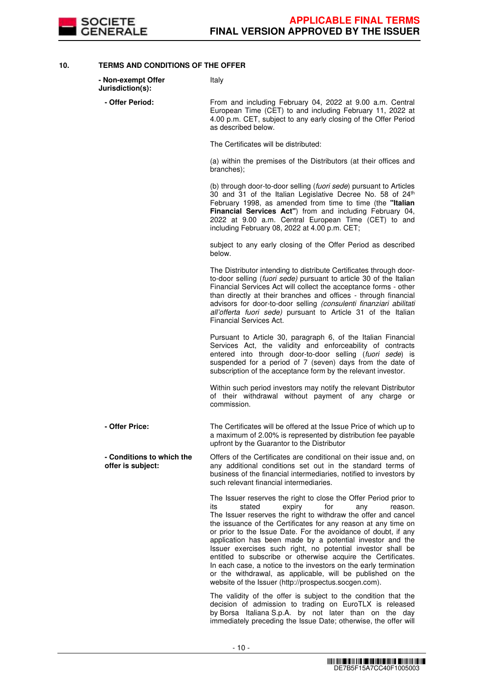

**10. TERMS AND CONDITIONS OF THE OFFER**

| - Non-exempt Offer<br>Jurisdiction(s):         | Italy                                                                                                                                                                                                                                                                                                                                                                                                                                                                                                                                                                                                                                                                                                             |
|------------------------------------------------|-------------------------------------------------------------------------------------------------------------------------------------------------------------------------------------------------------------------------------------------------------------------------------------------------------------------------------------------------------------------------------------------------------------------------------------------------------------------------------------------------------------------------------------------------------------------------------------------------------------------------------------------------------------------------------------------------------------------|
| - Offer Period:                                | From and including February 04, 2022 at 9.00 a.m. Central<br>European Time (CET) to and including February 11, 2022 at<br>4.00 p.m. CET, subject to any early closing of the Offer Period<br>as described below.                                                                                                                                                                                                                                                                                                                                                                                                                                                                                                  |
|                                                | The Certificates will be distributed:                                                                                                                                                                                                                                                                                                                                                                                                                                                                                                                                                                                                                                                                             |
|                                                | (a) within the premises of the Distributors (at their offices and<br>branches);                                                                                                                                                                                                                                                                                                                                                                                                                                                                                                                                                                                                                                   |
|                                                | (b) through door-to-door selling (fuori sede) pursuant to Articles<br>30 and 31 of the Italian Legislative Decree No. 58 of 24th<br>February 1998, as amended from time to time (the "Italian<br>Financial Services Act") from and including February 04,<br>2022 at 9.00 a.m. Central European Time (CET) to and<br>including February 08, 2022 at 4.00 p.m. CET;                                                                                                                                                                                                                                                                                                                                                |
|                                                | subject to any early closing of the Offer Period as described<br>below.                                                                                                                                                                                                                                                                                                                                                                                                                                                                                                                                                                                                                                           |
|                                                | The Distributor intending to distribute Certificates through door-<br>to-door selling (fuori sede) pursuant to article 30 of the Italian<br>Financial Services Act will collect the acceptance forms - other<br>than directly at their branches and offices - through financial<br>advisors for door-to-door selling (consulenti finanziari abilitati<br>all'offerta fuori sede) pursuant to Article 31 of the Italian<br>Financial Services Act.                                                                                                                                                                                                                                                                 |
|                                                | Pursuant to Article 30, paragraph 6, of the Italian Financial<br>Services Act, the validity and enforceability of contracts<br>entered into through door-to-door selling (fuori sede) is<br>suspended for a period of 7 (seven) days from the date of<br>subscription of the acceptance form by the relevant investor.                                                                                                                                                                                                                                                                                                                                                                                            |
|                                                | Within such period investors may notify the relevant Distributor<br>of their withdrawal without payment of any charge or<br>commission.                                                                                                                                                                                                                                                                                                                                                                                                                                                                                                                                                                           |
| - Offer Price:                                 | The Certificates will be offered at the Issue Price of which up to<br>a maximum of 2.00% is represented by distribution fee payable<br>upfront by the Guarantor to the Distributor                                                                                                                                                                                                                                                                                                                                                                                                                                                                                                                                |
| - Conditions to which the<br>offer is subject: | Offers of the Certificates are conditional on their issue and, on<br>any additional conditions set out in the standard terms of<br>business of the financial intermediaries, notified to investors by<br>such relevant financial intermediaries.                                                                                                                                                                                                                                                                                                                                                                                                                                                                  |
|                                                | The Issuer reserves the right to close the Offer Period prior to<br>its<br>stated<br>expiry<br>for<br>reason.<br>any<br>The Issuer reserves the right to withdraw the offer and cancel<br>the issuance of the Certificates for any reason at any time on<br>or prior to the Issue Date. For the avoidance of doubt, if any<br>application has been made by a potential investor and the<br>Issuer exercises such right, no potential investor shall be<br>entitled to subscribe or otherwise acquire the Certificates.<br>In each case, a notice to the investors on the early termination<br>or the withdrawal, as applicable, will be published on the<br>website of the Issuer (http://prospectus.socgen.com). |
|                                                | The validity of the offer is subject to the condition that the<br>decision of admission to trading on EuroTLX is released<br>by Borsa Italiana S.p.A. by not later than on the day                                                                                                                                                                                                                                                                                                                                                                                                                                                                                                                                |

immediately preceding the Issue Date; otherwise, the offer will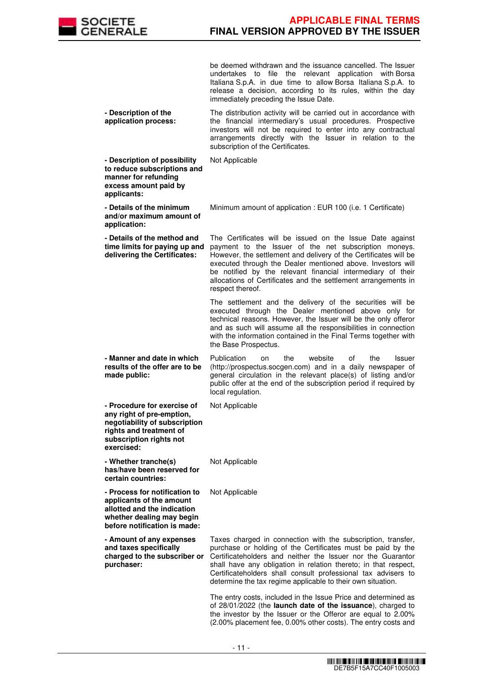

be deemed withdrawn and the issuance cancelled. The Issuer undertakes to file the relevant application with Borsa Italiana S.p.A. in due time to allow Borsa Italiana S.p.A. to release a decision, according to its rules, within the day immediately preceding the Issue Date.

 **- Description of the application process:** The distribution activity will be carried out in accordance with the financial intermediary's usual procedures. Prospective investors will not be required to enter into any contractual arrangements directly with the Issuer in relation to the subscription of the Certificates.

Not Applicable

 **- Details of the minimum and/or maximum amount of**  Minimum amount of application : EUR 100 (i.e. 1 Certificate)

 **- Details of the method and time limits for paying up and delivering the Certificates:** The Certificates will be issued on the Issue Date against payment to the Issuer of the net subscription moneys. However, the settlement and delivery of the Certificates will be executed through the Dealer mentioned above. Investors will be notified by the relevant financial intermediary of their allocations of Certificates and the settlement arrangements in respect thereof.

> The settlement and the delivery of the securities will be executed through the Dealer mentioned above only for technical reasons. However, the Issuer will be the only offeror and as such will assume all the responsibilities in connection with the information contained in the Final Terms together with the Base Prospectus.

 **- Manner and date in which results of the offer are to be made public:** Publication on the website of the Issuer (http://prospectus.socgen.com) and in a daily newspaper of general circulation in the relevant place(s) of listing and/or public offer at the end of the subscription period if required by local regulation.

Not Applicable

Not Applicable

**has/have been reserved for certain countries:**

**- Whether tranche(s)** 

 **- Procedure for exercise of any right of pre-emption, negotiability of subscription rights and treatment of subscription rights not** 

**exercised:**

 **- Description of possibility to reduce subscriptions and manner for refunding excess amount paid by** 

**applicants:**

**application:**

Not Applicable

 **- Process for notification to applicants of the amount allotted and the indication whether dealing may begin before notification is made:**

 **- Amount of any expenses and taxes specifically charged to the subscriber or purchaser:**

Taxes charged in connection with the subscription, transfer, purchase or holding of the Certificates must be paid by the Certificateholders and neither the Issuer nor the Guarantor shall have any obligation in relation thereto; in that respect, Certificateholders shall consult professional tax advisers to determine the tax regime applicable to their own situation.

The entry costs, included in the Issue Price and determined as of 28/01/2022 (the **launch date of the issuance**), charged to the investor by the Issuer or the Offeror are equal to 2.00% (2.00% placement fee, 0.00% other costs). The entry costs and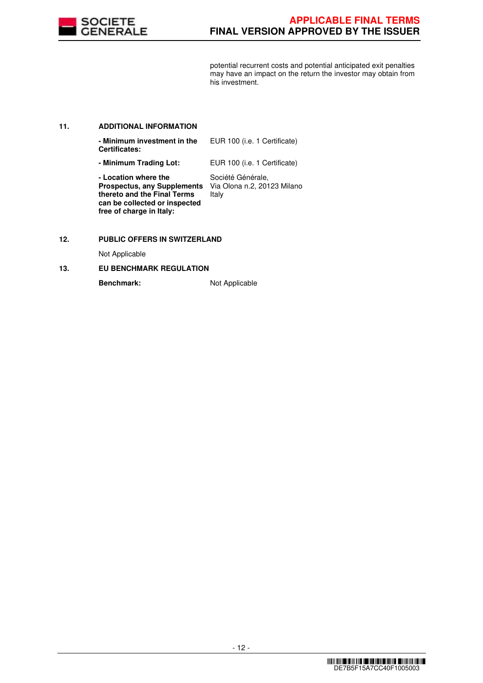

potential recurrent costs and potential anticipated exit penalties may have an impact on the return the investor may obtain from his investment.

# **11. ADDITIONAL INFORMATION**

| - Minimum investment in the<br><b>Certificates:</b>                                                                                                    | EUR 100 (i.e. 1 Certificate)                              |
|--------------------------------------------------------------------------------------------------------------------------------------------------------|-----------------------------------------------------------|
| - Minimum Trading Lot:                                                                                                                                 | EUR 100 (i.e. 1 Certificate)                              |
| - Location where the<br><b>Prospectus, any Supplements</b><br>thereto and the Final Terms<br>can be collected or inspected<br>free of charge in Italy: | Société Générale,<br>Via Olona n.2, 20123 Milano<br>Italy |

# **12. PUBLIC OFFERS IN SWITZERLAND**

Not Applicable

# **13. EU BENCHMARK REGULATION**

Benchmark: Not Applicable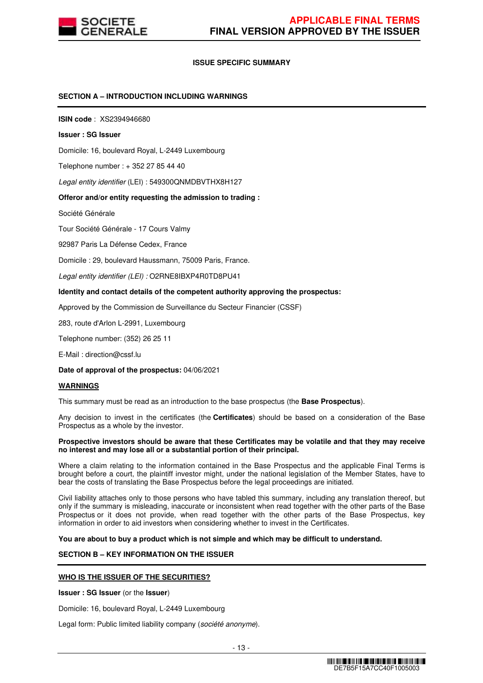

# **ISSUE SPECIFIC SUMMARY**

### **SECTION A – INTRODUCTION INCLUDING WARNINGS**

**ISIN code** : XS2394946680

#### **Issuer : SG Issuer**

Domicile: 16, boulevard Royal, L-2449 Luxembourg

Telephone number : + 352 27 85 44 40

Legal entity identifier (LEI) : 549300QNMDBVTHX8H127

#### **Offeror and/or entity requesting the admission to trading :**

Société Générale

Tour Société Générale - 17 Cours Valmy

92987 Paris La Défense Cedex, France

Domicile : 29, boulevard Haussmann, 75009 Paris, France.

Legal entity identifier (LEI) : O2RNE8IBXP4R0TD8PU41

#### **Identity and contact details of the competent authority approving the prospectus:**

Approved by the Commission de Surveillance du Secteur Financier (CSSF)

283, route d'Arlon L-2991, Luxembourg

Telephone number: (352) 26 25 11

E-Mail : direction@cssf.lu

**Date of approval of the prospectus:** 04/06/2021

#### **WARNINGS**

This summary must be read as an introduction to the base prospectus (the **Base Prospectus**).

Any decision to invest in the certificates (the **Certificates**) should be based on a consideration of the Base Prospectus as a whole by the investor.

#### **Prospective investors should be aware that these Certificates may be volatile and that they may receive no interest and may lose all or a substantial portion of their principal.**

Where a claim relating to the information contained in the Base Prospectus and the applicable Final Terms is brought before a court, the plaintiff investor might, under the national legislation of the Member States, have to bear the costs of translating the Base Prospectus before the legal proceedings are initiated.

Civil liability attaches only to those persons who have tabled this summary, including any translation thereof, but only if the summary is misleading, inaccurate or inconsistent when read together with the other parts of the Base Prospectus or it does not provide, when read together with the other parts of the Base Prospectus, key information in order to aid investors when considering whether to invest in the Certificates.

**You are about to buy a product which is not simple and which may be difficult to understand.**

# **SECTION B – KEY INFORMATION ON THE ISSUER**

#### **WHO IS THE ISSUER OF THE SECURITIES?**

**Issuer : SG Issuer** (or the **Issuer**)

Domicile: 16, boulevard Royal, L-2449 Luxembourg

Legal form: Public limited liability company (société anonyme).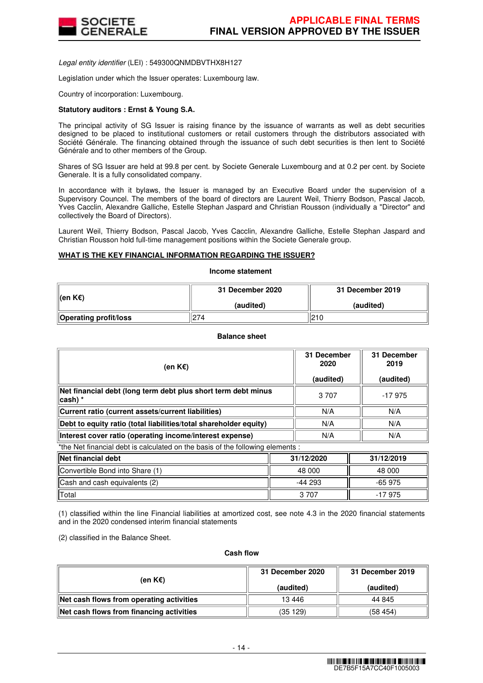

Legal entity identifier (LEI) : 549300QNMDBVTHX8H127

Legislation under which the Issuer operates: Luxembourg law.

Country of incorporation: Luxembourg.

### **Statutory auditors : Ernst & Young S.A.**

The principal activity of SG Issuer is raising finance by the issuance of warrants as well as debt securities designed to be placed to institutional customers or retail customers through the distributors associated with Société Générale. The financing obtained through the issuance of such debt securities is then lent to Société Générale and to other members of the Group.

Shares of SG Issuer are held at 99.8 per cent. by Societe Generale Luxembourg and at 0.2 per cent. by Societe Generale. It is a fully consolidated company.

In accordance with it bylaws, the Issuer is managed by an Executive Board under the supervision of a Supervisory Councel. The members of the board of directors are Laurent Weil, Thierry Bodson, Pascal Jacob, Yves Cacclin, Alexandre Galliche, Estelle Stephan Jaspard and Christian Rousson (individually a "Director" and collectively the Board of Directors).

Laurent Weil, Thierry Bodson, Pascal Jacob, Yves Cacclin, Alexandre Galliche, Estelle Stephan Jaspard and Christian Rousson hold full-time management positions within the Societe Generale group.

# **WHAT IS THE KEY FINANCIAL INFORMATION REGARDING THE ISSUER?**

**Income statement**

| ∥(en K€)                     | 31 December 2020 | 31 December 2019 |
|------------------------------|------------------|------------------|
|                              | (audited)        | (audited)        |
| <b>Operating profit/loss</b> | 274              | 210              |

#### **Balance sheet**

| (en K€)                                                                        | 31 December<br>2020<br>(audited) | 31 December<br>2019<br>(audited) |  |  |
|--------------------------------------------------------------------------------|----------------------------------|----------------------------------|--|--|
| Net financial debt (long term debt plus short term debt minus<br>∣cash) *      | 3 7 0 7                          | -17975                           |  |  |
| Current ratio (current assets/current liabilities)                             | N/A                              | N/A                              |  |  |
| Debt to equity ratio (total liabilities/total shareholder equity)              | N/A                              | N/A                              |  |  |
| Interest cover ratio (operating income/interest expense)                       | N/A                              | N/A                              |  |  |
| *the Net financial debt is calculated on the basis of the following elements : |                                  |                                  |  |  |

| <b>Net financial debt</b>       | 31/12/2020 | 31/12/2019 |
|---------------------------------|------------|------------|
| Convertible Bond into Share (1) | 48 000     | 48 000     |
| Cash and cash equivalents (2)   | -44 293    | $-65975$   |
| Total                           | 3 7 0 7    | $-17975$   |

(1) classified within the line Financial liabilities at amortized cost, see note 4.3 in the 2020 financial statements and in the 2020 condensed interim financial statements

(2) classified in the Balance Sheet.

#### **Cash flow**

| (en K€)                                  | 31 December 2020 | 31 December 2019 |  |
|------------------------------------------|------------------|------------------|--|
|                                          | (audited)        | (audited)        |  |
| Net cash flows from operating activities | 13 4 46          | 44 845           |  |
| Net cash flows from financing activities | (35 129)         | (58454)          |  |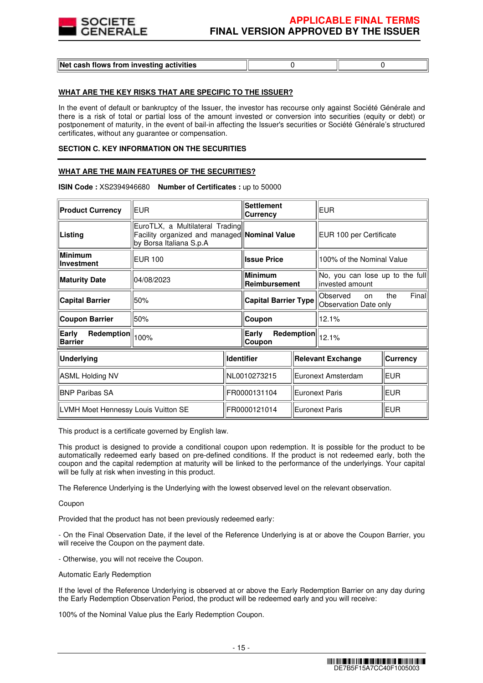

| Net cash flows from investing activities |  |
|------------------------------------------|--|
|                                          |  |

# **WHAT ARE THE KEY RISKS THAT ARE SPECIFIC TO THE ISSUER?**

In the event of default or bankruptcy of the Issuer, the investor has recourse only against Société Générale and there is a risk of total or partial loss of the amount invested or conversion into securities (equity or debt) or postponement of maturity, in the event of bail-in affecting the Issuer's securities or Société Générale's structured certificates, without any guarantee or compensation.

#### **SECTION C. KEY INFORMATION ON THE SECURITIES**

### **WHAT ARE THE MAIN FEATURES OF THE SECURITIES?**

| <b>Product Currency</b>               | <b>EUR</b>                                                                                                 |                               | <b>Settlement</b><br><b>Currency</b> |  | <b>EUR</b>                                                         |                 |
|---------------------------------------|------------------------------------------------------------------------------------------------------------|-------------------------------|--------------------------------------|--|--------------------------------------------------------------------|-----------------|
| Listing                               | EuroTLX, a Multilateral Trading<br>Facility organized and managed Nominal Value<br>by Borsa Italiana S.p.A |                               |                                      |  | EUR 100 per Certificate                                            |                 |
| Minimum<br>Investment                 | <b>EUR 100</b>                                                                                             |                               | <b>Issue Price</b>                   |  | 100% of the Nominal Value                                          |                 |
| <b>Maturity Date</b>                  | 04/08/2023                                                                                                 |                               | <b>Minimum</b><br>Reimbursement      |  | No, you can lose up to the full<br>invested amount                 |                 |
| <b>Capital Barrier</b>                | 50%                                                                                                        | <b>Capital Barrier Type</b>   |                                      |  | Final<br>Observed<br>the<br><sub>on</sub><br>Observation Date only |                 |
| <b>Coupon Barrier</b>                 | 50%                                                                                                        |                               | Coupon                               |  | 12.1%                                                              |                 |
| Redemption<br>Early<br><b>Barrier</b> | 100%                                                                                                       | Early<br>Redemption<br>Coupon |                                      |  | 12.1%                                                              |                 |
| <b>Underlying</b>                     |                                                                                                            |                               | <b>Identifier</b>                    |  | <b>Relevant Exchange</b>                                           | <b>Currency</b> |
| ASML Holding NV                       |                                                                                                            |                               | NL0010273215                         |  | Euronext Amsterdam                                                 | <b>EUR</b>      |
| <b>BNP Paribas SA</b>                 |                                                                                                            |                               | FR0000131104                         |  | Euronext Paris                                                     | <b>EUR</b>      |
| LVMH Moet Hennessy Louis Vuitton SE   |                                                                                                            |                               | FR0000121014                         |  | <b>Euronext Paris</b>                                              | <b>EUR</b>      |

**ISIN Code :** XS2394946680 **Number of Certificates :** up to 50000

This product is a certificate governed by English law.

This product is designed to provide a conditional coupon upon redemption. It is possible for the product to be automatically redeemed early based on pre-defined conditions. If the product is not redeemed early, both the coupon and the capital redemption at maturity will be linked to the performance of the underlyings. Your capital will be fully at risk when investing in this product.

The Reference Underlying is the Underlying with the lowest observed level on the relevant observation.

Coupon

Provided that the product has not been previously redeemed early:

- On the Final Observation Date, if the level of the Reference Underlying is at or above the Coupon Barrier, you will receive the Coupon on the payment date.

- Otherwise, you will not receive the Coupon.

Automatic Early Redemption

If the level of the Reference Underlying is observed at or above the Early Redemption Barrier on any day during the Early Redemption Observation Period, the product will be redeemed early and you will receive:

100% of the Nominal Value plus the Early Redemption Coupon.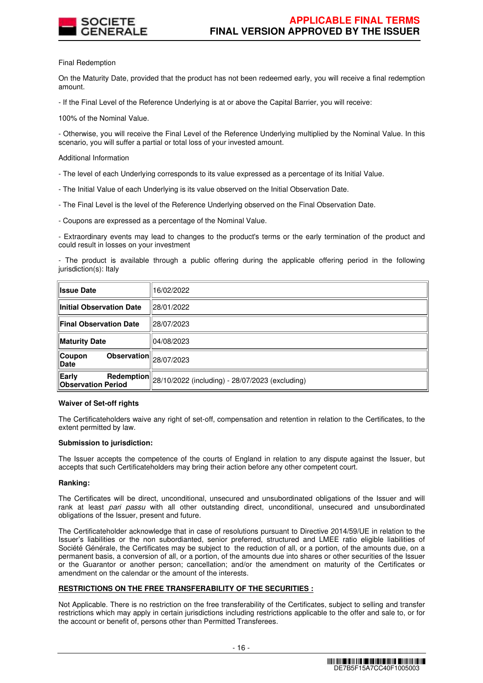

Final Redemption

On the Maturity Date, provided that the product has not been redeemed early, you will receive a final redemption amount.

- If the Final Level of the Reference Underlying is at or above the Capital Barrier, you will receive:

100% of the Nominal Value.

- Otherwise, you will receive the Final Level of the Reference Underlying multiplied by the Nominal Value. In this scenario, you will suffer a partial or total loss of your invested amount.

Additional Information

- The level of each Underlying corresponds to its value expressed as a percentage of its Initial Value.
- The Initial Value of each Underlying is its value observed on the Initial Observation Date.
- The Final Level is the level of the Reference Underlying observed on the Final Observation Date.
- Coupons are expressed as a percentage of the Nominal Value.

- Extraordinary events may lead to changes to the product's terms or the early termination of the product and could result in losses on your investment

- The product is available through a public offering during the applicable offering period in the following jurisdiction(s): Italy

| <b>Ilssue Date</b>                                                   | 16/02/2022                                                                                          |
|----------------------------------------------------------------------|-----------------------------------------------------------------------------------------------------|
| Initial Observation Date                                             | ll28/01/2022                                                                                        |
| Final Observation Date                                               | 28/07/2023                                                                                          |
| Maturity Date                                                        | 04/08/2023                                                                                          |
| $\overline{\textbf{Observation}}\ _{28/07/2023}$<br>∥Coupon<br>∥Date |                                                                                                     |
| Early<br><b>Observation Period</b>                                   | $\frac{ \textbf{Redemption} }{ 28/10/2022 \text{ (including) - } 28/07/2023 \text{ (excluding) } }$ |

#### **Waiver of Set-off rights**

The Certificateholders waive any right of set-off, compensation and retention in relation to the Certificates, to the extent permitted by law.

#### **Submission to jurisdiction:**

The Issuer accepts the competence of the courts of England in relation to any dispute against the Issuer, but accepts that such Certificateholders may bring their action before any other competent court.

#### **Ranking:**

The Certificates will be direct, unconditional, unsecured and unsubordinated obligations of the Issuer and will rank at least pari passu with all other outstanding direct, unconditional, unsecured and unsubordinated obligations of the Issuer, present and future.

The Certificateholder acknowledge that in case of resolutions pursuant to Directive 2014/59/UE in relation to the Issuer's liabilities or the non subordianted, senior preferred, structured and LMEE ratio eligible liabilities of Société Générale, the Certificates may be subject to the reduction of all, or a portion, of the amounts due, on a permanent basis, a conversion of all, or a portion, of the amounts due into shares or other securities of the Issuer or the Guarantor or another person; cancellation; and/or the amendment on maturity of the Certificates or amendment on the calendar or the amount of the interests.

# **RESTRICTIONS ON THE FREE TRANSFERABILITY OF THE SECURITIES :**

Not Applicable. There is no restriction on the free transferability of the Certificates, subject to selling and transfer restrictions which may apply in certain jurisdictions including restrictions applicable to the offer and sale to, or for the account or benefit of, persons other than Permitted Transferees.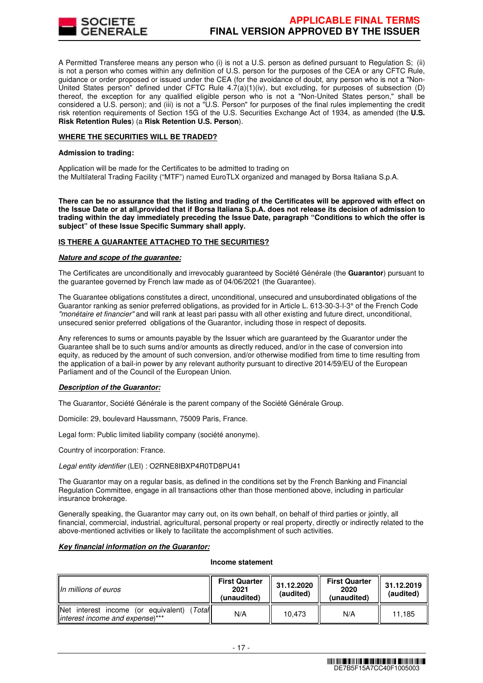

A Permitted Transferee means any person who (i) is not a U.S. person as defined pursuant to Regulation S; (ii) is not a person who comes within any definition of U.S. person for the purposes of the CEA or any CFTC Rule, guidance or order proposed or issued under the CEA (for the avoidance of doubt, any person who is not a "Non-United States person" defined under CFTC Rule  $4.7(a)(1)(iv)$ , but excluding, for purposes of subsection (D) thereof, the exception for any qualified eligible person who is not a "Non-United States person," shall be considered a U.S. person); and (iii) is not a "U.S. Person" for purposes of the final rules implementing the credit risk retention requirements of Section 15G of the U.S. Securities Exchange Act of 1934, as amended (the **U.S. Risk Retention Rules**) (a **Risk Retention U.S. Person**).

#### **WHERE THE SECURITIES WILL BE TRADED?**

#### **Admission to trading:**

Application will be made for the Certificates to be admitted to trading on the Multilateral Trading Facility ("MTF") named EuroTLX organized and managed by Borsa Italiana S.p.A.

**There can be no assurance that the listing and trading of the Certificates will be approved with effect on the Issue Date or at all,provided that if Borsa Italiana S.p.A. does not release its decision of admission to trading within the day immediately preceding the Issue Date, paragraph "Conditions to which the offer is subject" of these Issue Specific Summary shall apply.**

# **IS THERE A GUARANTEE ATTACHED TO THE SECURITIES?**

#### **Nature and scope of the guarantee:**

The Certificates are unconditionally and irrevocably guaranteed by Société Générale (the **Guarantor**) pursuant to the guarantee governed by French law made as of 04/06/2021 (the Guarantee).

The Guarantee obligations constitutes a direct, unconditional, unsecured and unsubordinated obligations of the Guarantor ranking as senior preferred obligations, as provided for in Article L. 613-30-3-I-3° of the French Code "monétaire et financier" and will rank at least pari passu with all other existing and future direct, unconditional, unsecured senior preferred obligations of the Guarantor, including those in respect of deposits.

Any references to sums or amounts payable by the Issuer which are guaranteed by the Guarantor under the Guarantee shall be to such sums and/or amounts as directly reduced, and/or in the case of conversion into equity, as reduced by the amount of such conversion, and/or otherwise modified from time to time resulting from the application of a bail-in power by any relevant authority pursuant to directive 2014/59/EU of the European Parliament and of the Council of the European Union.

# **Description of the Guarantor:**

The Guarantor, Société Générale is the parent company of the Société Générale Group.

Domicile: 29, boulevard Haussmann, 75009 Paris, France.

Legal form: Public limited liability company (société anonyme).

Country of incorporation: France.

#### Legal entity identifier (LEI) : O2RNE8IBXP4R0TD8PU41

The Guarantor may on a regular basis, as defined in the conditions set by the French Banking and Financial Regulation Committee, engage in all transactions other than those mentioned above, including in particular insurance brokerage.

Generally speaking, the Guarantor may carry out, on its own behalf, on behalf of third parties or jointly, all financial, commercial, industrial, agricultural, personal property or real property, directly or indirectly related to the above-mentioned activities or likely to facilitate the accomplishment of such activities.

## **Key financial information on the Guarantor:**

#### **Income statement**

| IIn millions of euros                                                                 | <b>First Quarter</b><br>2021<br>(unaudited) | 31.12.2020<br>(audited) | <b>First Quarter</b><br>2020<br>(unaudited) | 31.12.2019<br>(audited) |
|---------------------------------------------------------------------------------------|---------------------------------------------|-------------------------|---------------------------------------------|-------------------------|
| INet interest income<br>(Total<br>(or equivalent)<br>linterest income and expense)*** | N/A                                         | 10.473                  | N/A                                         | 11.185                  |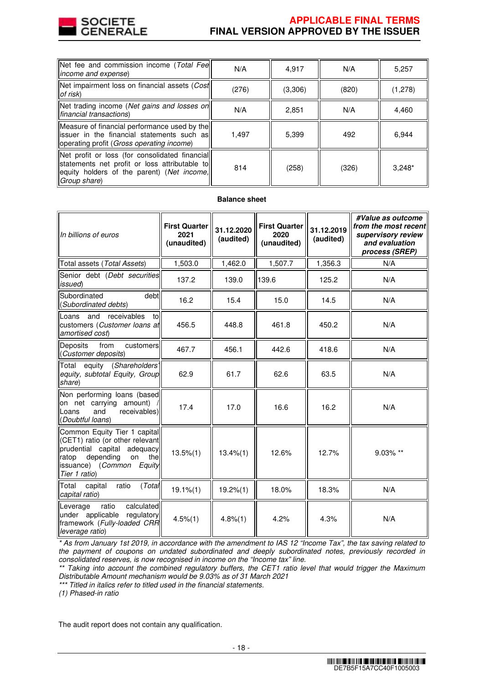

# **APPLICABLE FINAL TERMS FINAL VERSION APPROVED BY THE ISSUER**

| Net fee and commission income (Total Fee<br>income and expense)                                                                                                | N/A   | 4,917   | N/A   | 5,257    |
|----------------------------------------------------------------------------------------------------------------------------------------------------------------|-------|---------|-------|----------|
| Net impairment loss on financial assets (Cost<br>of risk)                                                                                                      | (276) | (3,306) | (820) | (1,278)  |
| Net trading income (Net gains and losses on<br>financial transactions)                                                                                         | N/A   | 2,851   | N/A   | 4,460    |
| Measure of financial performance used by the<br>issuer in the financial statements such as<br>operating profit (Gross operating income)                        | 1,497 | 5,399   | 492   | 6,944    |
| Net profit or loss (for consolidated financial)<br>statements net profit or loss attributable to<br>equity holders of the parent) (Net income,<br>Group share) | 814   | (258)   | (326) | $3,248*$ |

# **Balance sheet**

| In billions of euros                                                                                                                                                           | <b>First Quarter</b><br>2021<br>(unaudited) | 31.12.2020<br>(audited) | <b>First Quarter</b><br>2020<br>(unaudited) | 31.12.2019<br>(audited) | #Value as outcome<br>from the most recent<br>supervisory review<br>and evaluation<br>process (SREP) |
|--------------------------------------------------------------------------------------------------------------------------------------------------------------------------------|---------------------------------------------|-------------------------|---------------------------------------------|-------------------------|-----------------------------------------------------------------------------------------------------|
| Total assets (Total Assets)                                                                                                                                                    | 1,503.0                                     | 1,462.0                 | 1,507.7                                     | 1,356.3                 | N/A                                                                                                 |
| Senior debt (Debt securities<br>issued)                                                                                                                                        | 137.2                                       | 139.0                   | 139.6                                       | 125.2                   | N/A                                                                                                 |
| debt<br>Subordinated<br>(Subordinated debts)                                                                                                                                   | 16.2                                        | 15.4                    | 15.0                                        | 14.5                    | N/A                                                                                                 |
| receivables<br>Loans and<br>to<br>customers (Customer loans at<br>amortised cost)                                                                                              | 456.5                                       | 448.8                   | 461.8                                       | 450.2                   | N/A                                                                                                 |
| <b>Deposits</b><br>from<br>customers<br>(Customer deposits)                                                                                                                    | 467.7                                       | 456.1                   | 442.6                                       | 418.6                   | N/A                                                                                                 |
| equity (Shareholders'<br>Total<br>equity, subtotal Equity, Group<br>share)                                                                                                     | 62.9                                        | 61.7                    | 62.6                                        | 63.5                    | N/A                                                                                                 |
| Non performing loans (based<br>on net carrying amount)<br>and<br>receivables)<br>Loans<br>(Doubtful loans)                                                                     | 17.4                                        | 17.0                    | 16.6                                        | 16.2                    | N/A                                                                                                 |
| Common Equity Tier 1 capital<br>(CET1) ratio (or other relevant<br>prudential capital adequacy<br>depending<br>on<br>the<br>ratop<br>issuance) (Common Equity<br>Tier 1 ratio) | $13.5\%(1)$                                 | $13.4\%(1)$             | 12.6%                                       | 12.7%                   | 9.03% **                                                                                            |
| (Total<br>ratio<br>Total<br>capital<br>capital ratio)                                                                                                                          | $19.1\%$ $(1)$                              | 19.2%(1)                | 18.0%                                       | 18.3%                   | N/A                                                                                                 |
| ratio<br>calculated<br>Leverage<br>under applicable<br>regulatory<br>framework (Fully-loaded CRR<br>leverage ratio)                                                            | $4.5\%(1)$                                  | 4.8%(1)                 | 4.2%                                        | 4.3%                    | N/A                                                                                                 |

\* As from January 1st 2019, in accordance with the amendment to IAS 12 "Income Tax", the tax saving related to the payment of coupons on undated subordinated and deeply subordinated notes, previously recorded in consolidated reserves, is now recognised in income on the "Income tax" line.

\*\* Taking into account the combined regulatory buffers, the CET1 ratio level that would trigger the Maximum Distributable Amount mechanism would be 9.03% as of 31 March 2021

\*\*\* Titled in italics refer to titled used in the financial statements.

(1) Phased-in ratio

The audit report does not contain any qualification.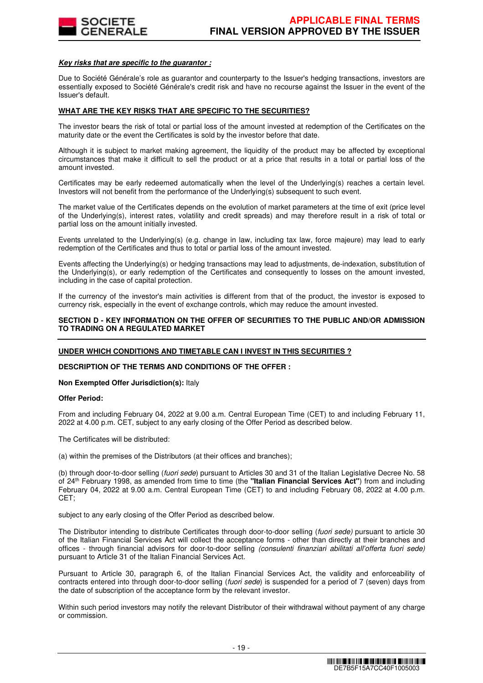

#### **Key risks that are specific to the guarantor :**

Due to Société Générale's role as guarantor and counterparty to the Issuer's hedging transactions, investors are essentially exposed to Société Générale's credit risk and have no recourse against the Issuer in the event of the Issuer's default.

# **WHAT ARE THE KEY RISKS THAT ARE SPECIFIC TO THE SECURITIES?**

The investor bears the risk of total or partial loss of the amount invested at redemption of the Certificates on the maturity date or the event the Certificates is sold by the investor before that date.

Although it is subject to market making agreement, the liquidity of the product may be affected by exceptional circumstances that make it difficult to sell the product or at a price that results in a total or partial loss of the amount invested.

Certificates may be early redeemed automatically when the level of the Underlying(s) reaches a certain level. Investors will not benefit from the performance of the Underlying(s) subsequent to such event.

The market value of the Certificates depends on the evolution of market parameters at the time of exit (price level of the Underlying(s), interest rates, volatility and credit spreads) and may therefore result in a risk of total or partial loss on the amount initially invested.

Events unrelated to the Underlying(s) (e.g. change in law, including tax law, force majeure) may lead to early redemption of the Certificates and thus to total or partial loss of the amount invested.

Events affecting the Underlying(s) or hedging transactions may lead to adjustments, de-indexation, substitution of the Underlying(s), or early redemption of the Certificates and consequently to losses on the amount invested, including in the case of capital protection.

If the currency of the investor's main activities is different from that of the product, the investor is exposed to currency risk, especially in the event of exchange controls, which may reduce the amount invested.

### **SECTION D - KEY INFORMATION ON THE OFFER OF SECURITIES TO THE PUBLIC AND/OR ADMISSION TO TRADING ON A REGULATED MARKET**

#### **UNDER WHICH CONDITIONS AND TIMETABLE CAN I INVEST IN THIS SECURITIES ?**

#### **DESCRIPTION OF THE TERMS AND CONDITIONS OF THE OFFER :**

#### **Non Exempted Offer Jurisdiction(s):** Italy

#### **Offer Period:**

From and including February 04, 2022 at 9.00 a.m. Central European Time (CET) to and including February 11, 2022 at 4.00 p.m. CET, subject to any early closing of the Offer Period as described below.

The Certificates will be distributed:

(a) within the premises of the Distributors (at their offices and branches);

(b) through door-to-door selling (fuori sede) pursuant to Articles 30 and 31 of the Italian Legislative Decree No. 58 of 24th February 1998, as amended from time to time (the **"Italian Financial Services Act"**) from and including February 04, 2022 at 9.00 a.m. Central European Time (CET) to and including February 08, 2022 at 4.00 p.m. CET;

subject to any early closing of the Offer Period as described below.

The Distributor intending to distribute Certificates through door-to-door selling (fuori sede) pursuant to article 30 of the Italian Financial Services Act will collect the acceptance forms - other than directly at their branches and offices - through financial advisors for door-to-door selling (consulenti finanziari abilitati all'offerta fuori sede) pursuant to Article 31 of the Italian Financial Services Act.

Pursuant to Article 30, paragraph 6, of the Italian Financial Services Act, the validity and enforceability of contracts entered into through door-to-door selling (fuori sede) is suspended for a period of 7 (seven) days from the date of subscription of the acceptance form by the relevant investor.

Within such period investors may notify the relevant Distributor of their withdrawal without payment of any charge or commission.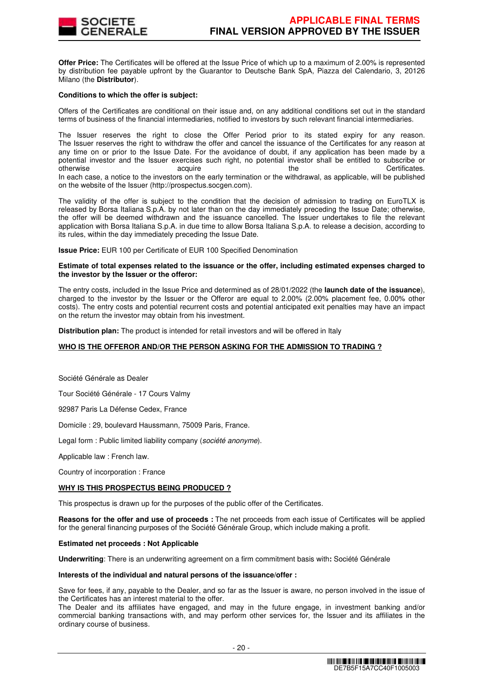

**Offer Price:** The Certificates will be offered at the Issue Price of which up to a maximum of 2.00% is represented by distribution fee payable upfront by the Guarantor to Deutsche Bank SpA, Piazza del Calendario, 3, 20126 Milano (the **Distributor**).

#### **Conditions to which the offer is subject:**

Offers of the Certificates are conditional on their issue and, on any additional conditions set out in the standard terms of business of the financial intermediaries, notified to investors by such relevant financial intermediaries.

The Issuer reserves the right to close the Offer Period prior to its stated expiry for any reason. The Issuer reserves the right to withdraw the offer and cancel the issuance of the Certificates for any reason at any time on or prior to the Issue Date. For the avoidance of doubt, if any application has been made by a potential investor and the Issuer exercises such right, no potential investor shall be entitled to subscribe or otherwise acquire acquire the the Certificates. In each case, a notice to the investors on the early termination or the withdrawal, as applicable, will be published on the website of the Issuer (http://prospectus.socgen.com).

The validity of the offer is subject to the condition that the decision of admission to trading on EuroTLX is released by Borsa Italiana S.p.A. by not later than on the day immediately preceding the Issue Date; otherwise, the offer will be deemed withdrawn and the issuance cancelled. The Issuer undertakes to file the relevant application with Borsa Italiana S.p.A. in due time to allow Borsa Italiana S.p.A. to release a decision, according to its rules, within the day immediately preceding the Issue Date.

**Issue Price:** EUR 100 per Certificate of EUR 100 Specified Denomination

#### **Estimate of total expenses related to the issuance or the offer, including estimated expenses charged to the investor by the Issuer or the offeror:**

The entry costs, included in the Issue Price and determined as of 28/01/2022 (the **launch date of the issuance**), charged to the investor by the Issuer or the Offeror are equal to 2.00% (2.00% placement fee, 0.00% other costs). The entry costs and potential recurrent costs and potential anticipated exit penalties may have an impact on the return the investor may obtain from his investment.

**Distribution plan:** The product is intended for retail investors and will be offered in Italy

# **WHO IS THE OFFEROR AND/OR THE PERSON ASKING FOR THE ADMISSION TO TRADING ?**

Société Générale as Dealer

Tour Société Générale - 17 Cours Valmy

92987 Paris La Défense Cedex, France

Domicile : 29, boulevard Haussmann, 75009 Paris, France.

Legal form : Public limited liability company (société anonyme).

Applicable law : French law.

Country of incorporation : France

# **WHY IS THIS PROSPECTUS BEING PRODUCED ?**

This prospectus is drawn up for the purposes of the public offer of the Certificates.

**Reasons for the offer and use of proceeds :** The net proceeds from each issue of Certificates will be applied for the general financing purposes of the Société Générale Group, which include making a profit.

#### **Estimated net proceeds : Not Applicable**

**Underwriting**: There is an underwriting agreement on a firm commitment basis with**:** Société Générale

#### **Interests of the individual and natural persons of the issuance/offer :**

Save for fees, if any, payable to the Dealer, and so far as the Issuer is aware, no person involved in the issue of the Certificates has an interest material to the offer.

The Dealer and its affiliates have engaged, and may in the future engage, in investment banking and/or commercial banking transactions with, and may perform other services for, the Issuer and its affiliates in the ordinary course of business.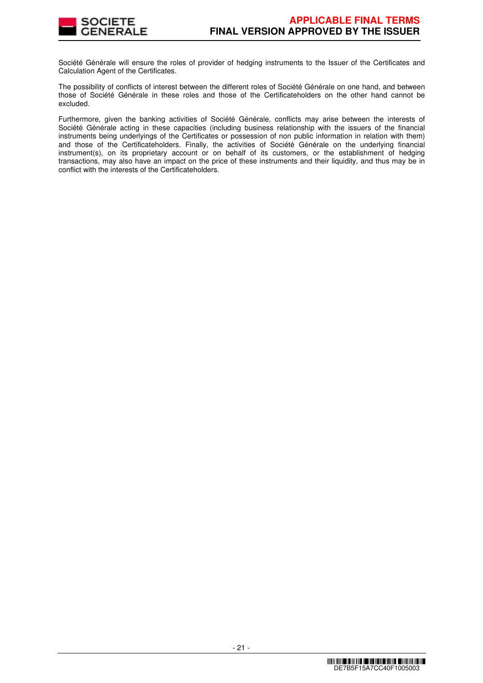

Société Générale will ensure the roles of provider of hedging instruments to the Issuer of the Certificates and Calculation Agent of the Certificates.

The possibility of conflicts of interest between the different roles of Société Générale on one hand, and between those of Société Générale in these roles and those of the Certificateholders on the other hand cannot be excluded.

Furthermore, given the banking activities of Société Générale, conflicts may arise between the interests of Société Générale acting in these capacities (including business relationship with the issuers of the financial instruments being underlyings of the Certificates or possession of non public information in relation with them) and those of the Certificateholders. Finally, the activities of Société Générale on the underlying financial instrument(s), on its proprietary account or on behalf of its customers, or the establishment of hedging transactions, may also have an impact on the price of these instruments and their liquidity, and thus may be in conflict with the interests of the Certificateholders.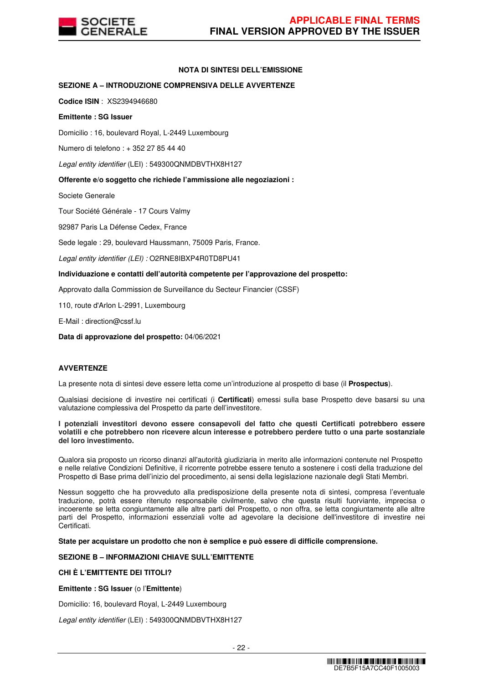

# **NOTA DI SINTESI DELL'EMISSIONE**

# **SEZIONE A – INTRODUZIONE COMPRENSIVA DELLE AVVERTENZE**

**Codice ISIN** : XS2394946680

#### **Emittente : SG Issuer**

Domicilio : 16, boulevard Royal, L-2449 Luxembourg

Numero di telefono : + 352 27 85 44 40

Legal entity identifier (LEI) : 549300QNMDBVTHX8H127

### **Offerente e/o soggetto che richiede l'ammissione alle negoziazioni :**

Societe Generale

Tour Société Générale - 17 Cours Valmy

92987 Paris La Défense Cedex, France

Sede legale : 29, boulevard Haussmann, 75009 Paris, France.

Legal entity identifier (LEI) : O2RNE8IBXP4R0TD8PU41

### **Individuazione e contatti dell'autorità competente per l'approvazione del prospetto:**

Approvato dalla Commission de Surveillance du Secteur Financier (CSSF)

110, route d'Arlon L-2991, Luxembourg

E-Mail : direction@cssf.lu

**Data di approvazione del prospetto:** 04/06/2021

#### **AVVERTENZE**

La presente nota di sintesi deve essere letta come un'introduzione al prospetto di base (il **Prospectus**).

Qualsiasi decisione di investire nei certificati (i **Certificati**) emessi sulla base Prospetto deve basarsi su una valutazione complessiva del Prospetto da parte dell'investitore.

**I potenziali investitori devono essere consapevoli del fatto che questi Certificati potrebbero essere volatili e che potrebbero non ricevere alcun interesse e potrebbero perdere tutto o una parte sostanziale del loro investimento.** 

Qualora sia proposto un ricorso dinanzi all'autorità giudiziaria in merito alle informazioni contenute nel Prospetto e nelle relative Condizioni Definitive, il ricorrente potrebbe essere tenuto a sostenere i costi della traduzione del Prospetto di Base prima dell'inizio del procedimento, ai sensi della legislazione nazionale degli Stati Membri.

Nessun soggetto che ha provveduto alla predisposizione della presente nota di sintesi, compresa l'eventuale traduzione, potrà essere ritenuto responsabile civilmente, salvo che questa risulti fuorviante, imprecisa o incoerente se letta congiuntamente alle altre parti del Prospetto, o non offra, se letta congiuntamente alle altre parti del Prospetto, informazioni essenziali volte ad agevolare la decisione dell'investitore di investire nei Certificati.

**State per acquistare un prodotto che non è semplice e può essere di difficile comprensione.**

# **SEZIONE B – INFORMAZIONI CHIAVE SULL'EMITTENTE**

# **CHI È L'EMITTENTE DEI TITOLI?**

**Emittente : SG Issuer** (o l'**Emittente**)

Domicilio: 16, boulevard Royal, L-2449 Luxembourg

Legal entity identifier (LEI) : 549300QNMDBVTHX8H127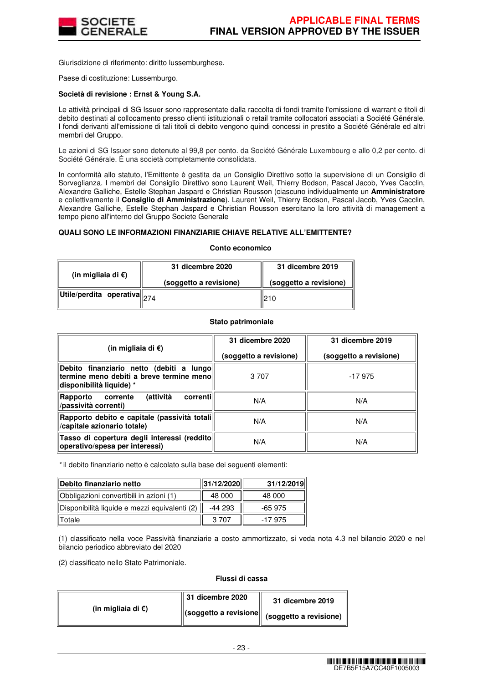

Giurisdizione di riferimento: diritto lussemburghese.

Paese di costituzione: Lussemburgo.

#### **Società di revisione : Ernst & Young S.A.**

Le attività principali di SG Issuer sono rappresentate dalla raccolta di fondi tramite l'emissione di warrant e titoli di debito destinati al collocamento presso clienti istituzionali o retail tramite collocatori associati a Société Générale. I fondi derivanti all'emissione di tali titoli di debito vengono quindi concessi in prestito a Société Générale ed altri membri del Gruppo.

Le azioni di SG Issuer sono detenute al 99,8 per cento. da Société Générale Luxembourg e allo 0,2 per cento. di Société Générale. È una società completamente consolidata.

In conformità allo statuto, l'Emittente è gestita da un Consiglio Direttivo sotto la supervisione di un Consiglio di Sorveglianza. I membri del Consiglio Direttivo sono Laurent Weil, Thierry Bodson, Pascal Jacob, Yves Cacclin, Alexandre Galliche, Estelle Stephan Jaspard e Christian Rousson (ciascuno individualmente un **Amministratore**  e collettivamente il **Consiglio di Amministrazione**). Laurent Weil, Thierry Bodson, Pascal Jacob, Yves Cacclin, Alexandre Galliche, Estelle Stephan Jaspard e Christian Rousson esercitano la loro attività di management a tempo pieno all'interno del Gruppo Societe Generale

### **QUALI SONO LE INFORMAZIONI FINANZIARIE CHIAVE RELATIVE ALL'EMITTENTE?**

#### **Conto economico**

| (in migliaia di $\epsilon$ )                                                                       | 31 dicembre 2020       | 31 dicembre 2019       |  |
|----------------------------------------------------------------------------------------------------|------------------------|------------------------|--|
|                                                                                                    | (soggetto a revisione) | (soggetto a revisione) |  |
| $\left\Vert \mathsf{Utile}/\mathsf{perdita} \right\Vert$ operativa $\left\Vert _{274} \right\Vert$ |                        | 210                    |  |

#### **Stato patrimoniale**

| (in migliaia di €)                                                                                                | 31 dicembre 2020<br>(soggetto a revisione) | 31 dicembre 2019<br>(soggetto a revisione) |
|-------------------------------------------------------------------------------------------------------------------|--------------------------------------------|--------------------------------------------|
| Debito finanziario netto (debiti a lungo<br>termine meno debiti a breve termine menol<br>disponibilità liquide) * | 3 7 0 7                                    | $-17975$                                   |
| (attività<br>correntil<br>corrente<br>Rapporto<br>/passività correnti)                                            | N/A                                        | N/A                                        |
| Rapporto debito e capitale (passività totali<br>/capitale azionario totale)                                       | N/A                                        | N/A                                        |
| Tasso di copertura degli interessi (reddito<br>operativo/spesa per interessi)                                     | N/A                                        | N/A                                        |

\* il debito finanziario netto è calcolato sulla base dei seguenti elementi:

| Debito finanziario netto                      | 31/12/2020 | 31/12/2019 |
|-----------------------------------------------|------------|------------|
| Obbligazioni convertibili in azioni (1)       | 48 000     | 48 000     |
| Disponibilità liquide e mezzi equivalenti (2) | -44 293    | $-65975$   |
| Totale                                        | 3.707      | -17 975    |

(1) classificato nella voce Passività finanziarie a costo ammortizzato, si veda nota 4.3 nel bilancio 2020 e nel bilancio periodico abbreviato del 2020

(2) classificato nello Stato Patrimoniale.

#### **Flussi di cassa**

| (in migliaia di $\epsilon$ ) | $\parallel$ 31 dicembre 2020 | 31 dicembre 2019                                                                                        |
|------------------------------|------------------------------|---------------------------------------------------------------------------------------------------------|
|                              |                              | $\left\  \text{(soggetto a revisione} \right\  \text{ (soggetto a revisione) } \ ^{\shortmid \text{ }}$ |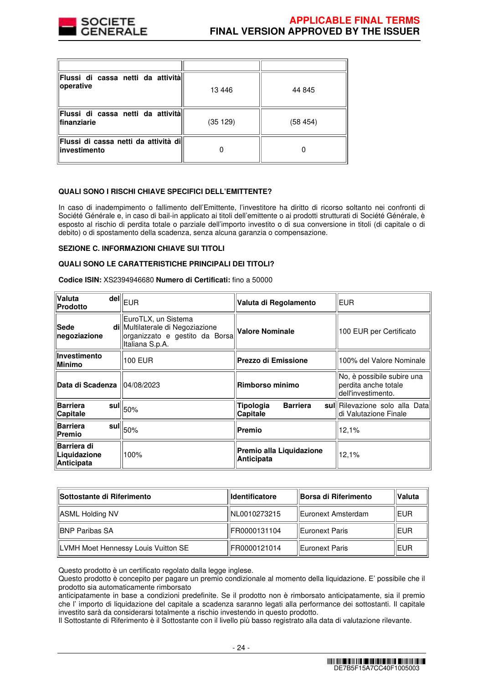

| Flussi di cassa netti da attività<br>operative         | 13446   | 44 845  |
|--------------------------------------------------------|---------|---------|
| Flussi di cassa netti da attivitàl<br>finanziarie      | (35129) | (58454) |
| Flussi di cassa netti da attività dill<br>investimento |         |         |

# **QUALI SONO I RISCHI CHIAVE SPECIFICI DELL'EMITTENTE?**

In caso di inadempimento o fallimento dell'Emittente, l'investitore ha diritto di ricorso soltanto nei confronti di Société Générale e, in caso di bail-in applicato ai titoli dell'emittente o ai prodotti strutturati di Société Générale, è esposto al rischio di perdita totale o parziale dell'importo investito o di sua conversione in titoli (di capitale o di debito) o di spostamento della scadenza, senza alcuna garanzia o compensazione.

#### **SEZIONE C. INFORMAZIONI CHIAVE SUI TITOLI**

#### **QUALI SONO LE CARATTERISTICHE PRINCIPALI DEI TITOLI?**

**Codice ISIN:** XS2394946680 **Numero di Certificati:** fino a 50000

| Valuta<br><b>Prodotto</b>                 | $\bar{\mathsf{del}}\vert\vert_{\mathsf{EUR}}$                                                                | Valuta di Regolamento                         | <b>EUR</b>                                                               |
|-------------------------------------------|--------------------------------------------------------------------------------------------------------------|-----------------------------------------------|--------------------------------------------------------------------------|
| Sede<br>negoziazione                      | EuroTLX, un Sistema<br>di Multilaterale di Negoziazione<br>organizzato e gestito da Borsa<br>Italiana S.p.A. | <b>Valore Nominale</b>                        | 100 EUR per Certificato                                                  |
| Investimento<br><b>Minimo</b>             | 100 EUR                                                                                                      | <b>Prezzo di Emissione</b>                    | 100% del Valore Nominale                                                 |
| Data di Scadenza 104/08/2023              |                                                                                                              | Rimborso minimo                               | No, è possibile subire una<br>perdita anche totale<br>dell'investimento. |
| <b>Barriera</b><br>Capitale               | $\bar{\bf s}$ ul $\left\ _{50\%}\right\ $                                                                    | Tipologia<br><b>Barriera</b><br>Capitale      | sul Rilevazione solo alla Data<br>di Valutazione Finale                  |
| <b>Barriera</b><br>Premio                 | $\tilde{  }$ sul $  _{50\%}$                                                                                 | Premio                                        | 12,1%                                                                    |
| Barriera di<br>Liquidazione<br>Anticipata | 100%                                                                                                         | Premio alla Liquidazione<br><b>Anticipata</b> | 12,1%                                                                    |

| <b>ISottostante di Riferimento</b>  | <b>Identificatore</b> | <b>Borsa di Riferimento</b> | <b>Valuta</b> |
|-------------------------------------|-----------------------|-----------------------------|---------------|
| ASML Holding NV                     | INL0010273215         | Euronext Amsterdam          | <b>EUR</b>    |
| IBNP Paribas SA                     | FR0000131104          | ' Euronext Paris            | <b>IEUR</b>   |
| LVMH Moet Hennessy Louis Vuitton SE | FR0000121014          | Euronext Paris              | <b>IEUR</b>   |

Questo prodotto è un certificato regolato dalla legge inglese.

Questo prodotto è concepito per pagare un premio condizionale al momento della liquidazione. E' possibile che il prodotto sia automaticamente rimborsato

anticipatamente in base a condizioni predefinite. Se il prodotto non è rimborsato anticipatamente, sia il premio che l' importo di liquidazione del capitale a scadenza saranno legati alla performance dei sottostanti. Il capitale investito sarà da considerarsi totalmente a rischio investendo in questo prodotto.

Il Sottostante di Riferimento è il Sottostante con il livello più basso registrato alla data di valutazione rilevante.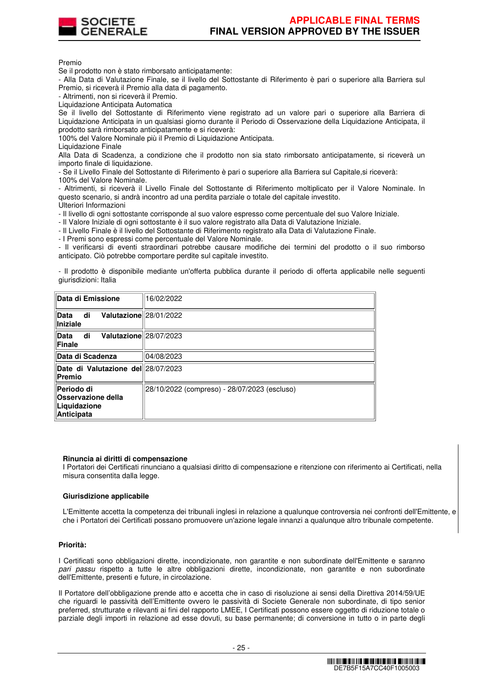

Premio

Se il prodotto non è stato rimborsato anticipatamente:

- Alla Data di Valutazione Finale, se il livello del Sottostante di Riferimento è pari o superiore alla Barriera sul Premio, si riceverà il Premio alla data di pagamento.

- Altrimenti, non si riceverà il Premio.

Liquidazione Anticipata Automatica

Se il livello del Sottostante di Riferimento viene registrato ad un valore pari o superiore alla Barriera di Liquidazione Anticipata in un qualsiasi giorno durante il Periodo di Osservazione della Liquidazione Anticipata, il prodotto sarà rimborsato anticipatamente e si riceverà:

100% del Valore Nominale più il Premio di Liquidazione Anticipata.

Liquidazione Finale

Alla Data di Scadenza, a condizione che il prodotto non sia stato rimborsato anticipatamente, si riceverà un importo finale di liquidazione.

- Se il Livello Finale del Sottostante di Riferimento è pari o superiore alla Barriera sul Capitale,si riceverà:

100% del Valore Nominale.

- Altrimenti, si riceverà il Livello Finale del Sottostante di Riferimento moltiplicato per il Valore Nominale. In questo scenario, si andrà incontro ad una perdita parziale o totale del capitale investito.

Ulteriori Informazioni

- Il livello di ogni sottostante corrisponde al suo valore espresso come percentuale del suo Valore Iniziale.

- Il Valore Iniziale di ogni sottostante è il suo valore registrato alla Data di Valutazione Iniziale.

- Il Livello Finale è il livello del Sottostante di Riferimento registrato alla Data di Valutazione Finale.

- I Premi sono espressi come percentuale del Valore Nominale.

- Il verificarsi di eventi straordinari potrebbe causare modifiche dei termini del prodotto o il suo rimborso anticipato. Ciò potrebbe comportare perdite sul capitale investito.

- Il prodotto è disponibile mediante un'offerta pubblica durante il periodo di offerta applicabile nelle seguenti giurisdizioni: Italia

| Data di Emissione                                                            | 16/02/2022                                   |
|------------------------------------------------------------------------------|----------------------------------------------|
| Valutazione 28/01/2022<br>di<br><b>Data</b><br>Iniziale                      |                                              |
| Valutazione 28/07/2023<br>di<br><b>Data</b><br>Finale                        |                                              |
| Data di Scadenza                                                             | 04/08/2023                                   |
| Date di Valutazione del 28/07/2023<br>Premio                                 |                                              |
| Periodo di<br><b>Osservazione della</b><br>Liquidazione<br><b>Anticipata</b> | 28/10/2022 (compreso) - 28/07/2023 (escluso) |

#### **Rinuncia ai diritti di compensazione**

I Portatori dei Certificati rinunciano a qualsiasi diritto di compensazione e ritenzione con riferimento ai Certificati, nella misura consentita dalla legge.

# **Giurisdizione applicabile**

L'Emittente accetta la competenza dei tribunali inglesi in relazione a qualunque controversia nei confronti dell'Emittente, e che i Portatori dei Certificati possano promuovere un'azione legale innanzi a qualunque altro tribunale competente.

# **Priorità:**

I Certificati sono obbligazioni dirette, incondizionate, non garantite e non subordinate dell'Emittente e saranno pari passu rispetto a tutte le altre obbligazioni dirette, incondizionate, non garantite e non subordinate dell'Emittente, presenti e future, in circolazione.

Il Portatore dell'obbligazione prende atto e accetta che in caso di risoluzione ai sensi della Direttiva 2014/59/UE che riguardi le passività dell'Emittente ovvero le passività di Societe Generale non subordinate, di tipo senior preferred, strutturate e rilevanti ai fini del rapporto LMEE, I Certificati possono essere oggetto di riduzione totale o parziale degli importi in relazione ad esse dovuti, su base permanente; di conversione in tutto o in parte degli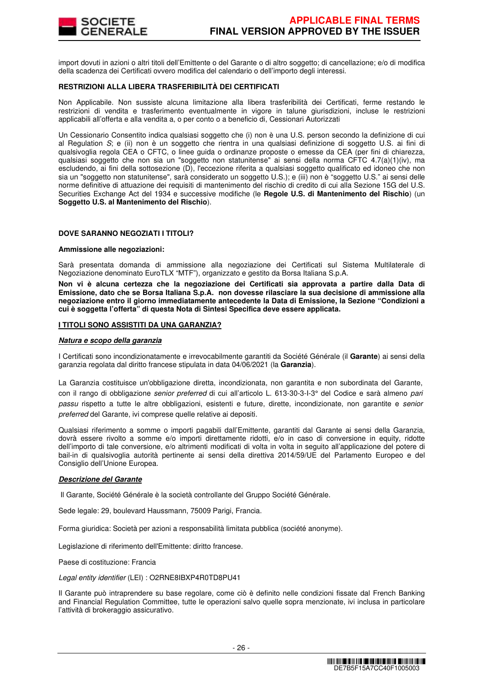

import dovuti in azioni o altri titoli dell'Emittente o del Garante o di altro soggetto; di cancellazione; e/o di modifica della scadenza dei Certificati ovvero modifica del calendario o dell'importo degli interessi.

# **RESTRIZIONI ALLA LIBERA TRASFERIBILITÀ DEI CERTIFICATI**

Non Applicabile. Non sussiste alcuna limitazione alla libera trasferibilità dei Certificati, ferme restando le restrizioni di vendita e trasferimento eventualmente in vigore in talune giurisdizioni, incluse le restrizioni applicabili all'offerta e alla vendita a, o per conto o a beneficio di, Cessionari Autorizzati

Un Cessionario Consentito indica qualsiasi soggetto che (i) non è una U.S. person secondo la definizione di cui al Regulation S; e (ii) non è un soggetto che rientra in una qualsiasi definizione di soggetto U.S. ai fini di qualsivoglia regola CEA o CFTC, o linee guida o ordinanze proposte o emesse da CEA (per fini di chiarezza, qualsiasi soggetto che non sia un "soggetto non statunitense" ai sensi della norma CFTC 4.7(a)(1)(iv), ma escludendo, ai fini della sottosezione (D), l'eccezione riferita a qualsiasi soggetto qualificato ed idoneo che non sia un "soggetto non statunitense", sarà considerato un soggetto U.S.); e (iii) non è "soggetto U.S." ai sensi delle norme definitive di attuazione dei requisiti di mantenimento del rischio di credito di cui alla Sezione 15G del U.S. Securities Exchange Act del 1934 e successive modifiche (le **Regole U.S. di Mantenimento del Rischio**) (un **Soggetto U.S. al Mantenimento del Rischio**).

### **DOVE SARANNO NEGOZIATI I TITOLI?**

#### **Ammissione alle negoziazioni:**

Sarà presentata domanda di ammissione alla negoziazione dei Certificati sul Sistema Multilaterale di Negoziazione denominato EuroTLX "MTF"), organizzato e gestito da Borsa Italiana S.p.A.

**Non vi è alcuna certezza che la negoziazione dei Certificati sia approvata a partire dalla Data di Emissione, dato che se Borsa Italiana S.p.A. non dovesse rilasciare la sua decisione di ammissione alla negoziazione entro il giorno immediatamente antecedente la Data di Emissione, la Sezione "Condizioni a cui è soggetta l'offerta" di questa Nota di Sintesi Specifica deve essere applicata.** 

#### **I TITOLI SONO ASSISTITI DA UNA GARANZIA?**

#### **Natura e scopo della garanzia**

I Certificati sono incondizionatamente e irrevocabilmente garantiti da Société Générale (il **Garante**) ai sensi della garanzia regolata dal diritto francese stipulata in data 04/06/2021 (la **Garanzia**).

La Garanzia costituisce un'obbligazione diretta, incondizionata, non garantita e non subordinata del Garante, con il rango di obbligazione senior preferred di cui all'articolo L. 613-30-3-I-3° del Codice e sarà almeno pari passu rispetto a tutte le altre obbligazioni, esistenti e future, dirette, incondizionate, non garantite e senior preferred del Garante, ivi comprese quelle relative ai depositi.

Qualsiasi riferimento a somme o importi pagabili dall'Emittente, garantiti dal Garante ai sensi della Garanzia, dovrà essere rivolto a somme e/o importi direttamente ridotti, e/o in caso di conversione in equity, ridotte dell'importo di tale conversione, e/o altrimenti modificati di volta in volta in seguito all'applicazione del potere di bail-in di qualsivoglia autorità pertinente ai sensi della direttiva 2014/59/UE del Parlamento Europeo e del Consiglio dell'Unione Europea.

#### **Descrizione del Garante**

Il Garante, Société Générale è la società controllante del Gruppo Société Générale.

Sede legale: 29, boulevard Haussmann, 75009 Parigi, Francia.

Forma giuridica: Società per azioni a responsabilità limitata pubblica (société anonyme).

Legislazione di riferimento dell'Emittente: diritto francese.

Paese di costituzione: Francia

Legal entity identifier (LEI) : O2RNE8IBXP4R0TD8PU41

Il Garante può intraprendere su base regolare, come ciò è definito nelle condizioni fissate dal French Banking and Financial Regulation Committee, tutte le operazioni salvo quelle sopra menzionate, ivi inclusa in particolare l'attività di brokeraggio assicurativo.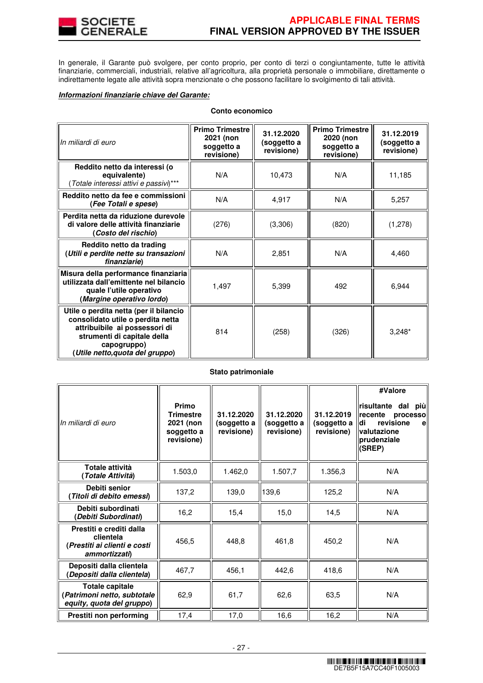

In generale, il Garante può svolgere, per conto proprio, per conto di terzi o congiuntamente, tutte le attività finanziarie, commerciali, industriali, relative all'agricoltura, alla proprietà personale o immobiliare, direttamente o indirettamente legate alle attività sopra menzionate o che possono facilitare lo svolgimento di tali attività.

#### **Informazioni finanziarie chiave del Garante:**

# **Conto economico**

| In miliardi di euro                                                                                                                                                                           | <b>Primo Trimestre</b><br>2021 (non<br>soggetto a<br>revisione) | 31.12.2020<br>(soggetto a<br>revisione) | <b>Primo Trimestre</b><br>2020 (non<br>soggetto a<br>revisione) | 31.12.2019<br>(soggetto a<br>revisione) |
|-----------------------------------------------------------------------------------------------------------------------------------------------------------------------------------------------|-----------------------------------------------------------------|-----------------------------------------|-----------------------------------------------------------------|-----------------------------------------|
| Reddito netto da interessi (o<br>equivalente)<br>(Totale interessi attivi e passivi)***                                                                                                       | N/A                                                             | 10,473                                  | N/A                                                             | 11,185                                  |
| Reddito netto da fee e commissioni<br>(Fee Totali e spese)                                                                                                                                    | N/A                                                             | 4,917                                   | N/A                                                             | 5,257                                   |
| Perdita netta da riduzione durevole<br>di valore delle attività finanziarie<br>(Costo del rischio)                                                                                            | (276)                                                           | (3,306)                                 | (820)                                                           | (1,278)                                 |
| Reddito netto da trading<br>(Utili e perdite nette su transazioni<br>finanziarie)                                                                                                             | N/A                                                             | 2,851                                   | N/A                                                             | 4,460                                   |
| Misura della performance finanziaria<br>utilizzata dall'emittente nel bilancio<br>quale l'utile operativo<br>(Margine operativo lordo)                                                        | 1,497                                                           | 5,399                                   | 492                                                             | 6,944                                   |
| Utile o perdita netta (per il bilancio<br>consolidato utile o perdita netta<br>attribuibile ai possessori di<br>strumenti di capitale della<br>capogruppo)<br>(Utile netto, quota del gruppo) | 814                                                             | (258)                                   | (326)                                                           | $3,248*$                                |

# **Stato patrimoniale**

| In miliardi di euro                                                                    | Primo<br><b>Trimestre</b><br>2021 (non<br>soggetto a<br>revisione) | 31.12.2020<br>(soggetto a<br>revisione) | 31.12.2020<br>(soggetto a<br>revisione) | 31.12.2019<br>(soggetto a<br>revisione) | #Valore<br>risultante dal<br>più<br>Irecente<br>processo<br>revisione<br>di<br>$\mathbf{e}$<br>valutazione<br>prudenziale<br>(SREP) |
|----------------------------------------------------------------------------------------|--------------------------------------------------------------------|-----------------------------------------|-----------------------------------------|-----------------------------------------|-------------------------------------------------------------------------------------------------------------------------------------|
| <b>Totale attività</b><br>(Totale Attività)                                            | 1.503,0                                                            | 1.462,0                                 | 1.507,7                                 | 1.356,3                                 | N/A                                                                                                                                 |
| Debiti senior<br>Titoli di debito emessi)                                              | 137,2                                                              | 139,0                                   | 139,6                                   | 125,2                                   | N/A                                                                                                                                 |
| Debiti subordinati<br>(Debiti Subordinati)                                             | 16,2                                                               | 15,4                                    | 15,0                                    | 14,5                                    | N/A                                                                                                                                 |
| Prestiti e crediti dalla<br>clientela<br>(Prestiti ai clienti e costi<br>ammortizzati) | 456,5                                                              | 448,8                                   | 461,8                                   | 450,2                                   | N/A                                                                                                                                 |
| Depositi dalla clientela<br>(Depositi dalla clientela)                                 | 467,7                                                              | 456,1                                   | 442,6                                   | 418,6                                   | N/A                                                                                                                                 |
| <b>Totale capitale</b><br>(Patrimoni netto, subtotale<br>equity, quota del gruppo)     | 62,9                                                               | 61,7                                    | 62,6                                    | 63,5                                    | N/A                                                                                                                                 |
| Prestiti non performing                                                                | 17,4                                                               | 17,0                                    | 16,6                                    | 16,2                                    | N/A                                                                                                                                 |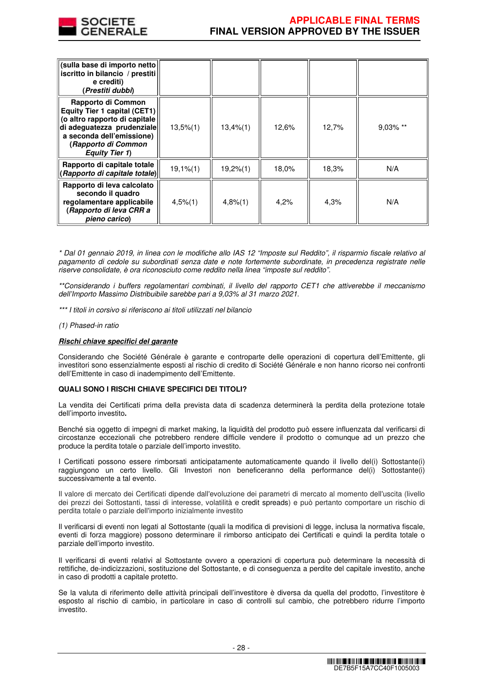

| (sulla base di importo netto)<br>iscritto in bilancio / prestiti<br>e crediti)<br>(Prestiti dubbi)                                                                                             |                |          |       |       |          |
|------------------------------------------------------------------------------------------------------------------------------------------------------------------------------------------------|----------------|----------|-------|-------|----------|
| Rapporto di Common<br>Equity Tier 1 capital (CET1)<br>(o altro rapporto di capitale<br>di adeguatezza prudenziale<br>a seconda dell'emissione)<br>(Rapporto di Common<br><b>Equity Tier 1)</b> | $13,5\%$ $(1)$ | 13,4%(1) | 12,6% | 12,7% | 9,03% ** |
| Rapporto di capitale totale<br>(Rapporto di capitale totale)                                                                                                                                   | $19,1%$ $(1)$  | 19,2%(1) | 18,0% | 18,3% | N/A      |
| Rapporto di leva calcolato<br>secondo il quadro<br>regolamentare applicabile<br>(Rapporto di leva CRR a<br>pieno carico)                                                                       | $4,5%$ (1)     | 4,8%(1)  | 4,2%  | 4,3%  | N/A      |

\* Dal 01 gennaio 2019, in linea con le modifiche allo IAS 12 "Imposte sul Reddito", il risparmio fiscale relativo al pagamento di cedole su subordinati senza date e note fortemente subordinate, in precedenza registrate nelle riserve consolidate, è ora riconosciuto come reddito nella linea "imposte sul reddito".

\*\*Considerando i buffers regolamentari combinati, il livello del rapporto CET1 che attiverebbe il meccanismo dell'Importo Massimo Distribuibile sarebbe pari a 9,03% al 31 marzo 2021.

\*\*\* I titoli in corsivo si riferiscono ai titoli utilizzati nel bilancio

#### (1) Phased-in ratio

#### **Rischi chiave specifici del garante**

Considerando che Société Générale è garante e controparte delle operazioni di copertura dell'Emittente, gli investitori sono essenzialmente esposti al rischio di credito di Société Générale e non hanno ricorso nei confronti dell'Emittente in caso di inadempimento dell'Emittente.

#### **QUALI SONO I RISCHI CHIAVE SPECIFICI DEI TITOLI?**

La vendita dei Certificati prima della prevista data di scadenza determinerà la perdita della protezione totale dell'importo investito**.**

Benché sia oggetto di impegni di market making, la liquidità del prodotto può essere influenzata dal verificarsi di circostanze eccezionali che potrebbero rendere difficile vendere il prodotto o comunque ad un prezzo che produce la perdita totale o parziale dell'importo investito.

I Certificati possono essere rimborsati anticipatamente automaticamente quando il livello del(i) Sottostante(i) raggiungono un certo livello. Gli Investori non beneficeranno della performance del(i) Sottostante(i) successivamente a tal evento.

Il valore di mercato dei Certificati dipende dall'evoluzione dei parametri di mercato al momento dell'uscita (livello dei prezzi dei Sottostanti, tassi di interesse, volatilità e credit spreads) e può pertanto comportare un rischio di perdita totale o parziale dell'importo inizialmente investito

Il verificarsi di eventi non legati al Sottostante (quali la modifica di previsioni di legge, inclusa la normativa fiscale, eventi di forza maggiore) possono determinare il rimborso anticipato dei Certificati e quindi la perdita totale o parziale dell'importo investito.

Il verificarsi di eventi relativi al Sottostante ovvero a operazioni di copertura può determinare la necessità di rettifiche, de-indicizzazioni, sostituzione del Sottostante, e di conseguenza a perdite del capitale investito, anche in caso di prodotti a capitale protetto.

Se la valuta di riferimento delle attività principali dell'investitore è diversa da quella del prodotto, l'investitore è esposto al rischio di cambio, in particolare in caso di controlli sul cambio, che potrebbero ridurre l'importo investito.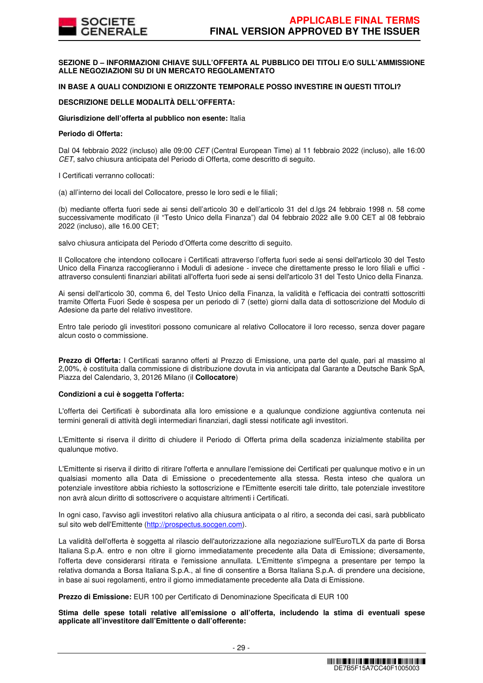**SEZIONE D – INFORMAZIONI CHIAVE SULL'OFFERTA AL PUBBLICO DEI TITOLI E/O SULL'AMMISSIONE ALLE NEGOZIAZIONI SU DI UN MERCATO REGOLAMENTATO**

# **IN BASE A QUALI CONDIZIONI E ORIZZONTE TEMPORALE POSSO INVESTIRE IN QUESTI TITOLI?**

### **DESCRIZIONE DELLE MODALITÀ DELL'OFFERTA:**

**Giurisdizione dell'offerta al pubblico non esente:** Italia

#### **Periodo di Offerta:**

Dal 04 febbraio 2022 (incluso) alle 09:00 CET (Central European Time) al 11 febbraio 2022 (incluso), alle 16:00 CET, salvo chiusura anticipata del Periodo di Offerta, come descritto di seguito.

I Certificati verranno collocati:

(a) all'interno dei locali del Collocatore, presso le loro sedi e le filiali;

(b) mediante offerta fuori sede ai sensi dell'articolo 30 e dell'articolo 31 del d.lgs 24 febbraio 1998 n. 58 come successivamente modificato (il "Testo Unico della Finanza") dal 04 febbraio 2022 alle 9.00 CET al 08 febbraio 2022 (incluso), alle 16.00 CET;

salvo chiusura anticipata del Periodo d'Offerta come descritto di seguito.

Il Collocatore che intendono collocare i Certificati attraverso l'offerta fuori sede ai sensi dell'articolo 30 del Testo Unico della Finanza raccoglieranno i Moduli di adesione - invece che direttamente presso le loro filiali e uffici attraverso consulenti finanziari abilitati all'offerta fuori sede ai sensi dell'articolo 31 del Testo Unico della Finanza.

Ai sensi dell'articolo 30, comma 6, del Testo Unico della Finanza, la validità e l'efficacia dei contratti sottoscritti tramite Offerta Fuori Sede è sospesa per un periodo di 7 (sette) giorni dalla data di sottoscrizione del Modulo di Adesione da parte del relativo investitore.

Entro tale periodo gli investitori possono comunicare al relativo Collocatore il loro recesso, senza dover pagare alcun costo o commissione.

**Prezzo di Offerta:** I Certificati saranno offerti al Prezzo di Emissione, una parte del quale, pari al massimo al 2,00%, è costituita dalla commissione di distribuzione dovuta in via anticipata dal Garante a Deutsche Bank SpA, Piazza del Calendario, 3, 20126 Milano (il **Collocatore**)

#### **Condizioni a cui è soggetta l'offerta:**

L'offerta dei Certificati è subordinata alla loro emissione e a qualunque condizione aggiuntiva contenuta nei termini generali di attività degli intermediari finanziari, dagli stessi notificate agli investitori.

L'Emittente si riserva il diritto di chiudere il Periodo di Offerta prima della scadenza inizialmente stabilita per qualunque motivo.

L'Emittente si riserva il diritto di ritirare l'offerta e annullare l'emissione dei Certificati per qualunque motivo e in un qualsiasi momento alla Data di Emissione o precedentemente alla stessa. Resta inteso che qualora un potenziale investitore abbia richiesto la sottoscrizione e l'Emittente eserciti tale diritto, tale potenziale investitore non avrà alcun diritto di sottoscrivere o acquistare altrimenti i Certificati.

In ogni caso, l'avviso agli investitori relativo alla chiusura anticipata o al ritiro, a seconda dei casi, sarà pubblicato sul sito web dell'Emittente (http://prospectus.socgen.com).

La validità dell'offerta è soggetta al rilascio dell'autorizzazione alla negoziazione sull'EuroTLX da parte di Borsa Italiana S.p.A. entro e non oltre il giorno immediatamente precedente alla Data di Emissione; diversamente, l'offerta deve considerarsi ritirata e l'emissione annullata. L'Emittente s'impegna a presentare per tempo la relativa domanda a Borsa Italiana S.p.A., al fine di consentire a Borsa Italiana S.p.A. di prendere una decisione, in base ai suoi regolamenti, entro il giorno immediatamente precedente alla Data di Emissione.

**Prezzo di Emissione:** EUR 100 per Certificato di Denominazione Specificata di EUR 100

**Stima delle spese totali relative all'emissione o all'offerta, includendo la stima di eventuali spese applicate all'investitore dall'Emittente o dall'offerente:**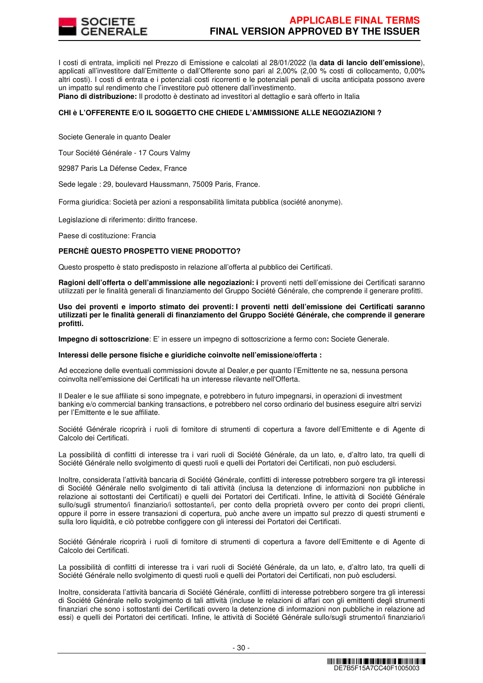

I costi di entrata, impliciti nel Prezzo di Emissione e calcolati al 28/01/2022 (la **data di lancio dell'emissione**), applicati all'investitore dall'Emittente o dall'Offerente sono pari al 2,00% (2,00 % costi di collocamento, 0,00% altri costi). I costi di entrata e i potenziali costi ricorrenti e le potenziali penali di uscita anticipata possono avere un impatto sul rendimento che l'investitore può ottenere dall'investimento.

**Piano di distribuzione:** Il prodotto è destinato ad investitori al dettaglio e sarà offerto in Italia

# **CHI è L'OFFERENTE E/O IL SOGGETTO CHE CHIEDE L'AMMISSIONE ALLE NEGOZIAZIONI ?**

Societe Generale in quanto Dealer

Tour Société Générale - 17 Cours Valmy

92987 Paris La Défense Cedex, France

Sede legale : 29, boulevard Haussmann, 75009 Paris, France.

Forma giuridica: Società per azioni a responsabilità limitata pubblica (société anonyme).

Legislazione di riferimento: diritto francese.

Paese di costituzione: Francia

### **PERCHÈ QUESTO PROSPETTO VIENE PRODOTTO?**

Questo prospetto è stato predisposto in relazione all'offerta al pubblico dei Certificati.

**Ragioni dell'offerta o dell'ammissione alle negoziazioni: i** proventi netti dell'emissione dei Certificati saranno utilizzati per le finalità generali di finanziamento del Gruppo Société Générale, che comprende il generare profitti.

**Uso dei proventi e importo stimato dei proventi: I proventi netti dell'emissione dei Certificati saranno utilizzati per le finalità generali di finanziamento del Gruppo Société Générale, che comprende il generare profitti.** 

**Impegno di sottoscrizione**: E' in essere un impegno di sottoscrizione a fermo con**:** Societe Generale.

#### **Interessi delle persone fisiche e giuridiche coinvolte nell'emissione/offerta :**

Ad eccezione delle eventuali commissioni dovute al Dealer,e per quanto l'Emittente ne sa, nessuna persona coinvolta nell'emissione dei Certificati ha un interesse rilevante nell'Offerta.

Il Dealer e le sue affiliate si sono impegnate, e potrebbero in futuro impegnarsi, in operazioni di investment banking e/o commercial banking transactions, e potrebbero nel corso ordinario del business eseguire altri servizi per l'Emittente e le sue affiliate.

Société Générale ricoprirà i ruoli di fornitore di strumenti di copertura a favore dell'Emittente e di Agente di Calcolo dei Certificati.

La possibilità di conflitti di interesse tra i vari ruoli di Société Générale, da un lato, e, d'altro lato, tra quelli di Société Générale nello svolgimento di questi ruoli e quelli dei Portatori dei Certificati, non può escludersi.

Inoltre, considerata l'attività bancaria di Société Générale, conflitti di interesse potrebbero sorgere tra gli interessi di Société Générale nello svolgimento di tali attività (inclusa la detenzione di informazioni non pubbliche in relazione ai sottostanti dei Certificati) e quelli dei Portatori dei Certificati. Infine, le attività di Société Générale sullo/sugli strumento/i finanziario/i sottostante/i, per conto della proprietà ovvero per conto dei propri clienti, oppure il porre in essere transazioni di copertura, può anche avere un impatto sul prezzo di questi strumenti e sulla loro liquidità, e ciò potrebbe configgere con gli interessi dei Portatori dei Certificati.

Société Générale ricoprirà i ruoli di fornitore di strumenti di copertura a favore dell'Emittente e di Agente di Calcolo dei Certificati.

La possibilità di conflitti di interesse tra i vari ruoli di Société Générale, da un lato, e, d'altro lato, tra quelli di Société Générale nello svolgimento di questi ruoli e quelli dei Portatori dei Certificati, non può escludersi.

Inoltre, considerata l'attività bancaria di Société Générale, conflitti di interesse potrebbero sorgere tra gli interessi di Société Générale nello svolgimento di tali attività (incluse le relazioni di affari con gli emittenti degli strumenti finanziari che sono i sottostanti dei Certificati ovvero la detenzione di informazioni non pubbliche in relazione ad essi) e quelli dei Portatori dei certificati. Infine, le attività di Société Générale sullo/sugli strumento/i finanziario/i